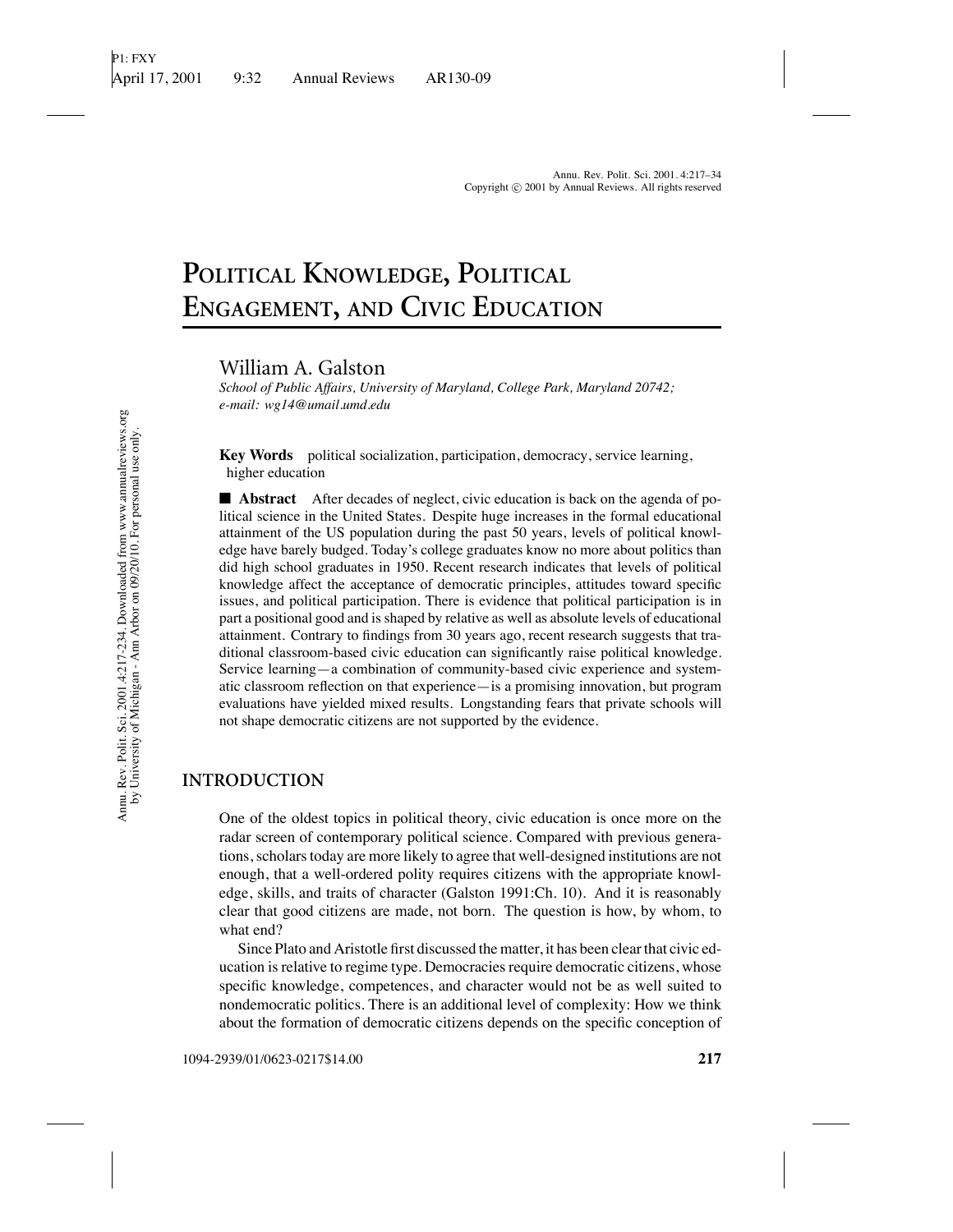# **POLITICAL KNOWLEDGE, POLITICAL ENGAGEMENT, AND CIVIC EDUCATION**

William A. Galston

*School of Public Affairs, University of Maryland, College Park, Maryland 20742; e-mail: wg14@umail.umd.edu*

**Key Words** political socialization, participation, democracy, service learning, higher education

■ **Abstract** After decades of neglect, civic education is back on the agenda of political science in the United States. Despite huge increases in the formal educational attainment of the US population during the past 50 years, levels of political knowledge have barely budged. Today's college graduates know no more about politics than did high school graduates in 1950. Recent research indicates that levels of political knowledge affect the acceptance of democratic principles, attitudes toward specific issues, and political participation. There is evidence that political participation is in part a positional good and is shaped by relative as well as absolute levels of educational attainment. Contrary to findings from 30 years ago, recent research suggests that traditional classroom-based civic education can significantly raise political knowledge. Service learning—a combination of community-based civic experience and systematic classroom reflection on that experience—is a promising innovation, but program evaluations have yielded mixed results. Longstanding fears that private schools will not shape democratic citizens are not supported by the evidence.

### **INTRODUCTION**

One of the oldest topics in political theory, civic education is once more on the radar screen of contemporary political science. Compared with previous generations, scholars today are more likely to agree that well-designed institutions are not enough, that a well-ordered polity requires citizens with the appropriate knowledge, skills, and traits of character (Galston 1991:Ch. 10). And it is reasonably clear that good citizens are made, not born. The question is how, by whom, to what end?

Since Plato and Aristotle first discussed the matter, it has been clear that civic education is relative to regime type. Democracies require democratic citizens, whose specific knowledge, competences, and character would not be as well suited to nondemocratic politics. There is an additional level of complexity: How we think about the formation of democratic citizens depends on the specific conception of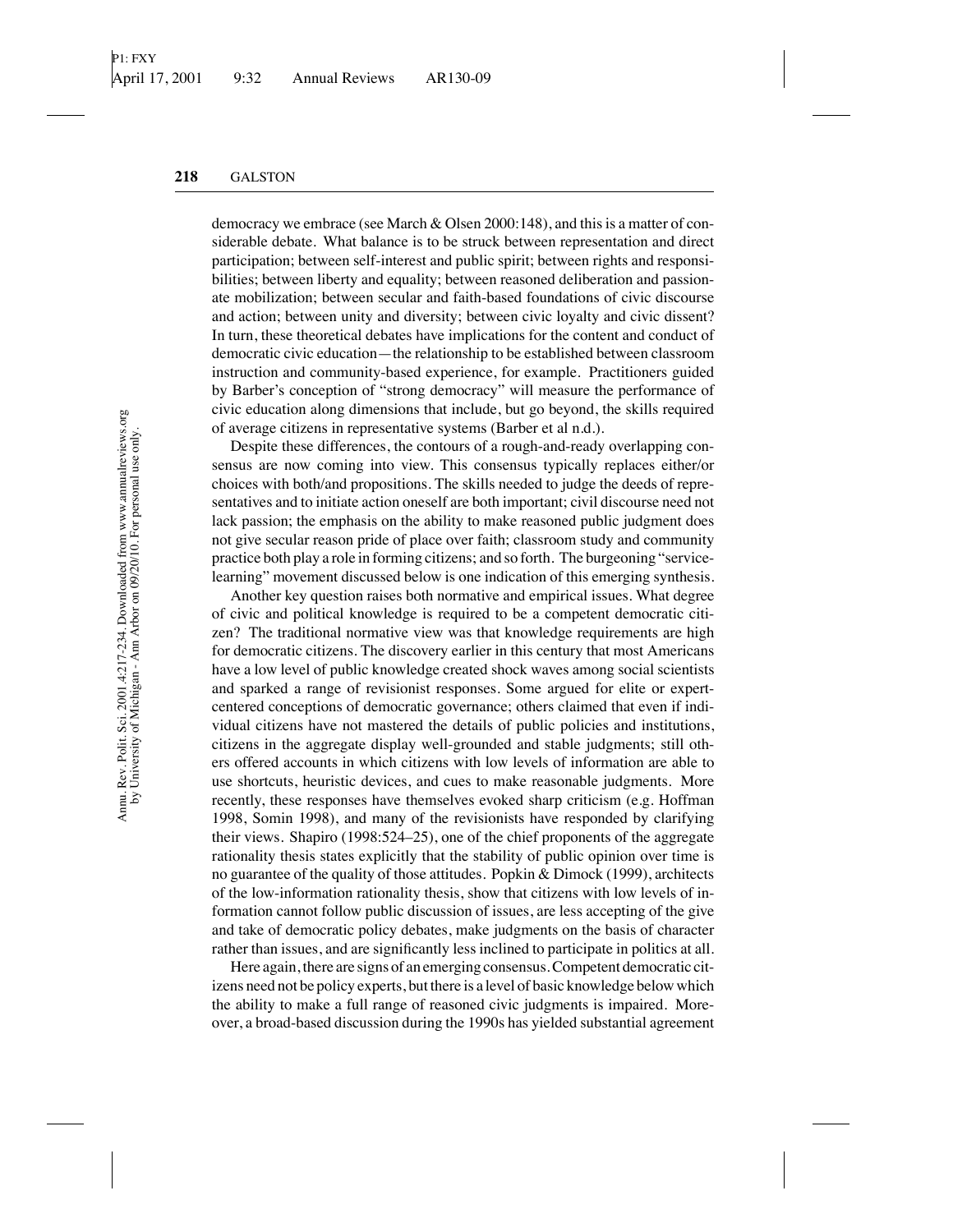democracy we embrace (see March & Olsen 2000:148), and this is a matter of considerable debate. What balance is to be struck between representation and direct participation; between self-interest and public spirit; between rights and responsibilities; between liberty and equality; between reasoned deliberation and passionate mobilization; between secular and faith-based foundations of civic discourse and action; between unity and diversity; between civic loyalty and civic dissent? In turn, these theoretical debates have implications for the content and conduct of democratic civic education—the relationship to be established between classroom instruction and community-based experience, for example. Practitioners guided by Barber's conception of "strong democracy" will measure the performance of civic education along dimensions that include, but go beyond, the skills required of average citizens in representative systems (Barber et al n.d.).

Despite these differences, the contours of a rough-and-ready overlapping consensus are now coming into view. This consensus typically replaces either/or choices with both/and propositions. The skills needed to judge the deeds of representatives and to initiate action oneself are both important; civil discourse need not lack passion; the emphasis on the ability to make reasoned public judgment does not give secular reason pride of place over faith; classroom study and community practice both play a role in forming citizens; and so forth. The burgeoning "servicelearning" movement discussed below is one indication of this emerging synthesis.

Another key question raises both normative and empirical issues. What degree of civic and political knowledge is required to be a competent democratic citizen? The traditional normative view was that knowledge requirements are high for democratic citizens. The discovery earlier in this century that most Americans have a low level of public knowledge created shock waves among social scientists and sparked a range of revisionist responses. Some argued for elite or expertcentered conceptions of democratic governance; others claimed that even if individual citizens have not mastered the details of public policies and institutions, citizens in the aggregate display well-grounded and stable judgments; still others offered accounts in which citizens with low levels of information are able to use shortcuts, heuristic devices, and cues to make reasonable judgments. More recently, these responses have themselves evoked sharp criticism (e.g. Hoffman 1998, Somin 1998), and many of the revisionists have responded by clarifying their views. Shapiro (1998:524–25), one of the chief proponents of the aggregate rationality thesis states explicitly that the stability of public opinion over time is no guarantee of the quality of those attitudes. Popkin & Dimock (1999), architects of the low-information rationality thesis, show that citizens with low levels of information cannot follow public discussion of issues, are less accepting of the give and take of democratic policy debates, make judgments on the basis of character rather than issues, and are significantly less inclined to participate in politics at all.

Here again, there are signs of an emerging consensus. Competent democratic citizens need not be policy experts, but there is a level of basic knowledge below which the ability to make a full range of reasoned civic judgments is impaired. Moreover, a broad-based discussion during the 1990s has yielded substantial agreement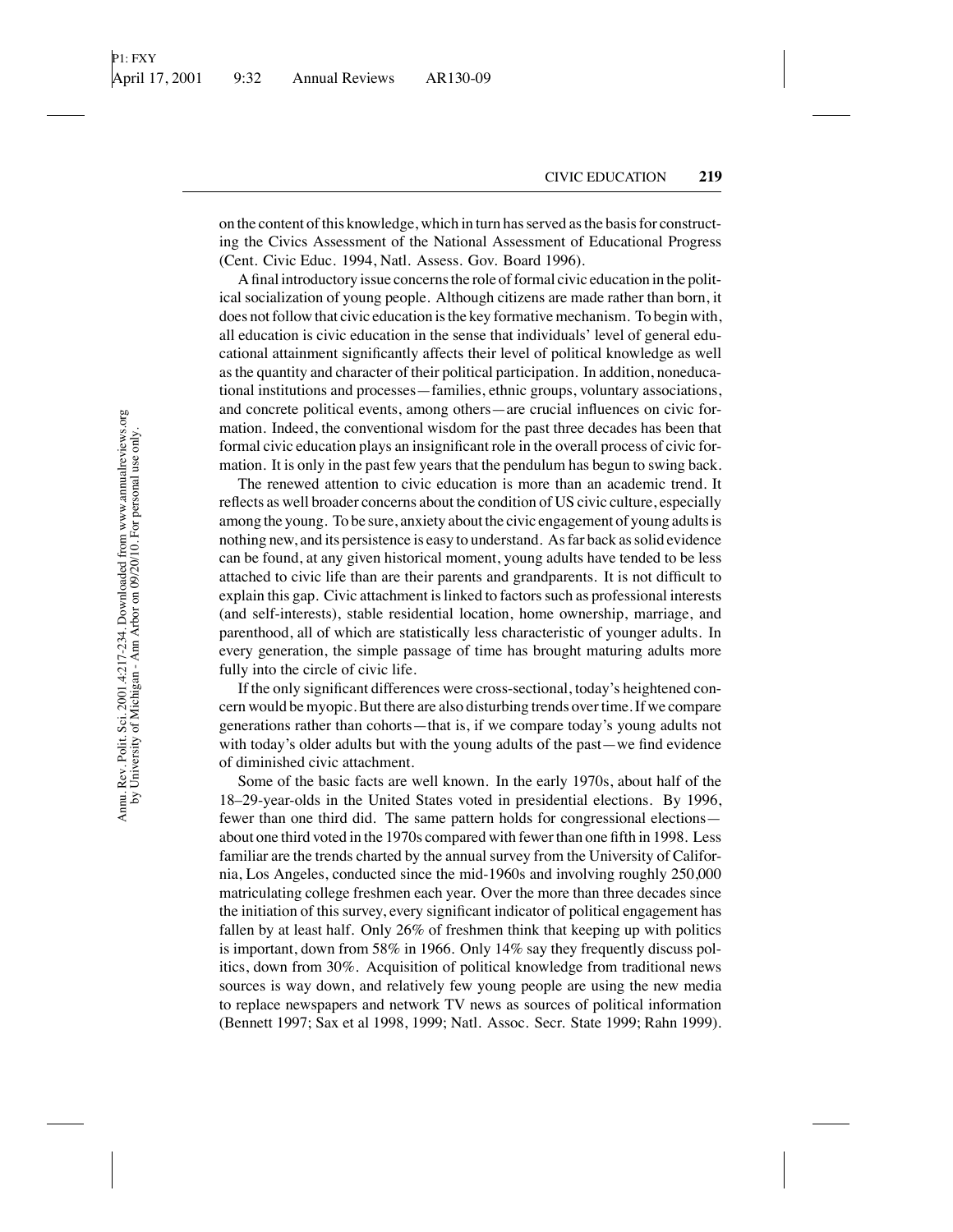on the content of this knowledge, which in turn has served as the basis for constructing the Civics Assessment of the National Assessment of Educational Progress (Cent. Civic Educ. 1994, Natl. Assess. Gov. Board 1996).

A final introductory issue concerns the role of formal civic education in the political socialization of young people. Although citizens are made rather than born, it does not follow that civic education is the key formative mechanism. To begin with, all education is civic education in the sense that individuals' level of general educational attainment significantly affects their level of political knowledge as well as the quantity and character of their political participation. In addition, noneducational institutions and processes—families, ethnic groups, voluntary associations, and concrete political events, among others—are crucial influences on civic formation. Indeed, the conventional wisdom for the past three decades has been that formal civic education plays an insignificant role in the overall process of civic formation. It is only in the past few years that the pendulum has begun to swing back.

The renewed attention to civic education is more than an academic trend. It reflects as well broader concerns about the condition of US civic culture, especially among the young. To be sure, anxiety about the civic engagement of young adults is nothing new, and its persistence is easy to understand. As far back as solid evidence can be found, at any given historical moment, young adults have tended to be less attached to civic life than are their parents and grandparents. It is not difficult to explain this gap. Civic attachment is linked to factors such as professional interests (and self-interests), stable residential location, home ownership, marriage, and parenthood, all of which are statistically less characteristic of younger adults. In every generation, the simple passage of time has brought maturing adults more fully into the circle of civic life.

If the only significant differences were cross-sectional, today's heightened concern would be myopic. But there are also disturbing trends over time. If we compare generations rather than cohorts—that is, if we compare today's young adults not with today's older adults but with the young adults of the past—we find evidence of diminished civic attachment.

Some of the basic facts are well known. In the early 1970s, about half of the 18–29-year-olds in the United States voted in presidential elections. By 1996, fewer than one third did. The same pattern holds for congressional elections about one third voted in the 1970s compared with fewer than one fifth in 1998. Less familiar are the trends charted by the annual survey from the University of California, Los Angeles, conducted since the mid-1960s and involving roughly 250,000 matriculating college freshmen each year. Over the more than three decades since the initiation of this survey, every significant indicator of political engagement has fallen by at least half. Only 26% of freshmen think that keeping up with politics is important, down from 58% in 1966. Only 14% say they frequently discuss politics, down from 30%. Acquisition of political knowledge from traditional news sources is way down, and relatively few young people are using the new media to replace newspapers and network TV news as sources of political information (Bennett 1997; Sax et al 1998, 1999; Natl. Assoc. Secr. State 1999; Rahn 1999).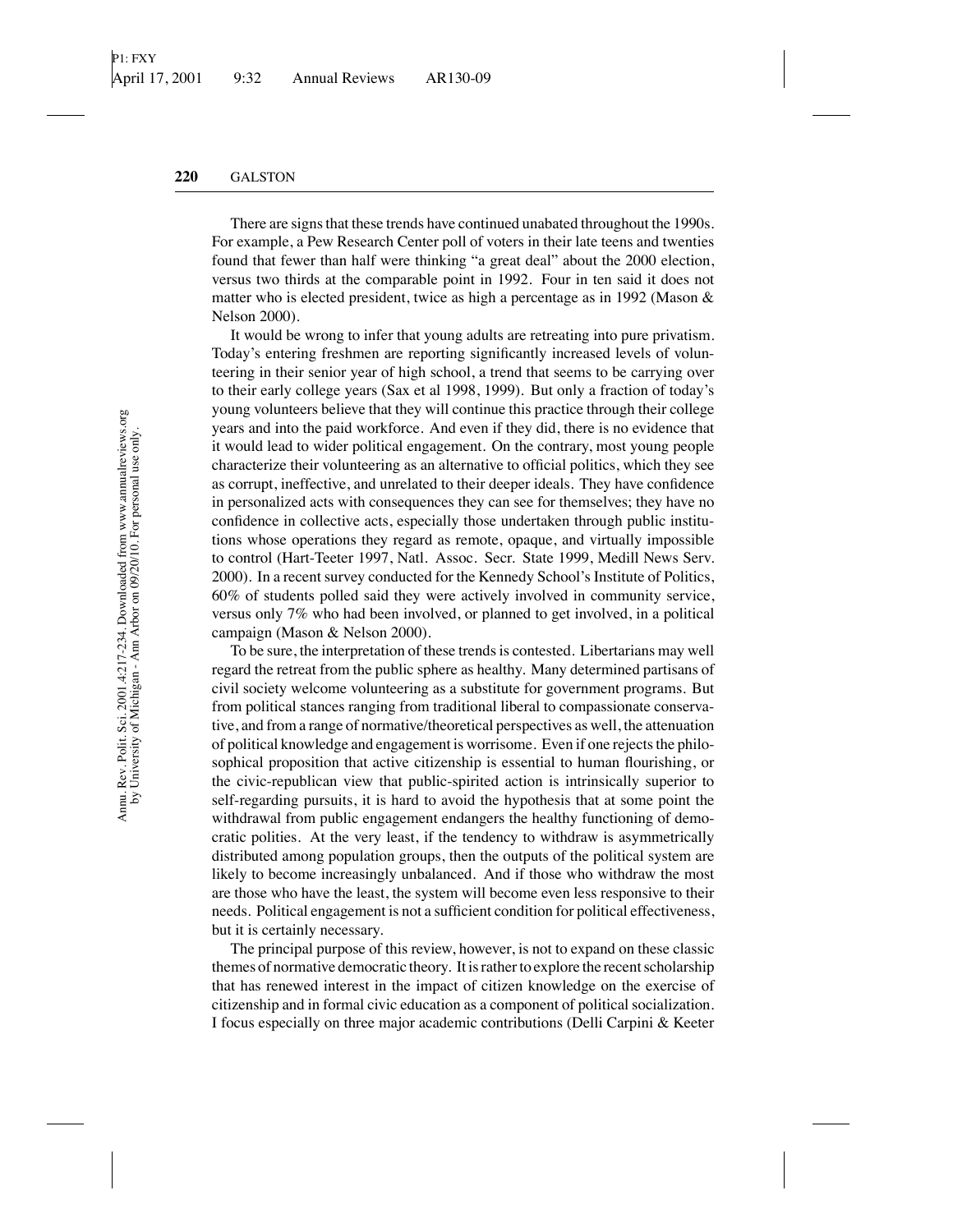There are signs that these trends have continued unabated throughout the 1990s. For example, a Pew Research Center poll of voters in their late teens and twenties found that fewer than half were thinking "a great deal" about the 2000 election, versus two thirds at the comparable point in 1992. Four in ten said it does not matter who is elected president, twice as high a percentage as in 1992 (Mason  $\&$ Nelson 2000).

It would be wrong to infer that young adults are retreating into pure privatism. Today's entering freshmen are reporting significantly increased levels of volunteering in their senior year of high school, a trend that seems to be carrying over to their early college years (Sax et al 1998, 1999). But only a fraction of today's young volunteers believe that they will continue this practice through their college years and into the paid workforce. And even if they did, there is no evidence that it would lead to wider political engagement. On the contrary, most young people characterize their volunteering as an alternative to official politics, which they see as corrupt, ineffective, and unrelated to their deeper ideals. They have confidence in personalized acts with consequences they can see for themselves; they have no confidence in collective acts, especially those undertaken through public institutions whose operations they regard as remote, opaque, and virtually impossible to control (Hart-Teeter 1997, Natl. Assoc. Secr. State 1999, Medill News Serv. 2000). In a recent survey conducted for the Kennedy School's Institute of Politics, 60% of students polled said they were actively involved in community service, versus only 7% who had been involved, or planned to get involved, in a political campaign (Mason & Nelson 2000).

To be sure, the interpretation of these trends is contested. Libertarians may well regard the retreat from the public sphere as healthy. Many determined partisans of civil society welcome volunteering as a substitute for government programs. But from political stances ranging from traditional liberal to compassionate conservative, and from a range of normative/theoretical perspectives as well, the attenuation of political knowledge and engagement is worrisome. Even if one rejects the philosophical proposition that active citizenship is essential to human flourishing, or the civic-republican view that public-spirited action is intrinsically superior to self-regarding pursuits, it is hard to avoid the hypothesis that at some point the withdrawal from public engagement endangers the healthy functioning of democratic polities. At the very least, if the tendency to withdraw is asymmetrically distributed among population groups, then the outputs of the political system are likely to become increasingly unbalanced. And if those who withdraw the most are those who have the least, the system will become even less responsive to their needs. Political engagement is not a sufficient condition for political effectiveness, but it is certainly necessary.

The principal purpose of this review, however, is not to expand on these classic themes of normative democratic theory. It is rather to explore the recent scholarship that has renewed interest in the impact of citizen knowledge on the exercise of citizenship and in formal civic education as a component of political socialization. I focus especially on three major academic contributions (Delli Carpini & Keeter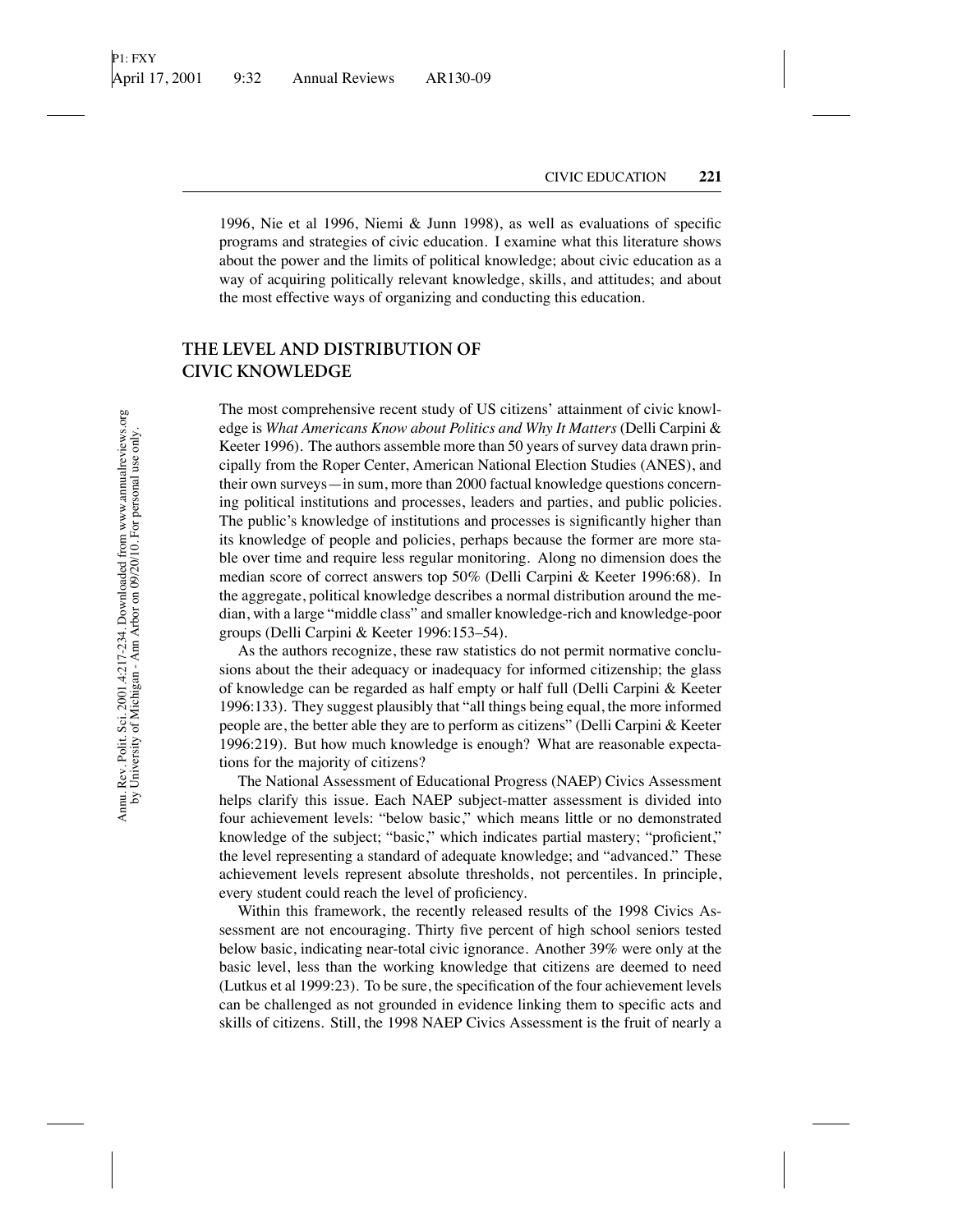1996, Nie et al 1996, Niemi & Junn 1998), as well as evaluations of specific programs and strategies of civic education. I examine what this literature shows about the power and the limits of political knowledge; about civic education as a way of acquiring politically relevant knowledge, skills, and attitudes; and about the most effective ways of organizing and conducting this education.

## **THE LEVEL AND DISTRIBUTION OF CIVIC KNOWLEDGE**

The most comprehensive recent study of US citizens' attainment of civic knowledge is *What Americans Know about Politics and Why It Matters* (Delli Carpini & Keeter 1996). The authors assemble more than 50 years of survey data drawn principally from the Roper Center, American National Election Studies (ANES), and their own surveys—in sum, more than 2000 factual knowledge questions concerning political institutions and processes, leaders and parties, and public policies. The public's knowledge of institutions and processes is significantly higher than its knowledge of people and policies, perhaps because the former are more stable over time and require less regular monitoring. Along no dimension does the median score of correct answers top 50% (Delli Carpini & Keeter 1996:68). In the aggregate, political knowledge describes a normal distribution around the median, with a large "middle class" and smaller knowledge-rich and knowledge-poor groups (Delli Carpini & Keeter 1996:153–54).

As the authors recognize, these raw statistics do not permit normative conclusions about the their adequacy or inadequacy for informed citizenship; the glass of knowledge can be regarded as half empty or half full (Delli Carpini & Keeter 1996:133). They suggest plausibly that "all things being equal, the more informed people are, the better able they are to perform as citizens" (Delli Carpini & Keeter 1996:219). But how much knowledge is enough? What are reasonable expectations for the majority of citizens?

The National Assessment of Educational Progress (NAEP) Civics Assessment helps clarify this issue. Each NAEP subject-matter assessment is divided into four achievement levels: "below basic," which means little or no demonstrated knowledge of the subject; "basic," which indicates partial mastery; "proficient," the level representing a standard of adequate knowledge; and "advanced." These achievement levels represent absolute thresholds, not percentiles. In principle, every student could reach the level of proficiency.

Within this framework, the recently released results of the 1998 Civics Assessment are not encouraging. Thirty five percent of high school seniors tested below basic, indicating near-total civic ignorance. Another 39% were only at the basic level, less than the working knowledge that citizens are deemed to need (Lutkus et al 1999:23). To be sure, the specification of the four achievement levels can be challenged as not grounded in evidence linking them to specific acts and skills of citizens. Still, the 1998 NAEP Civics Assessment is the fruit of nearly a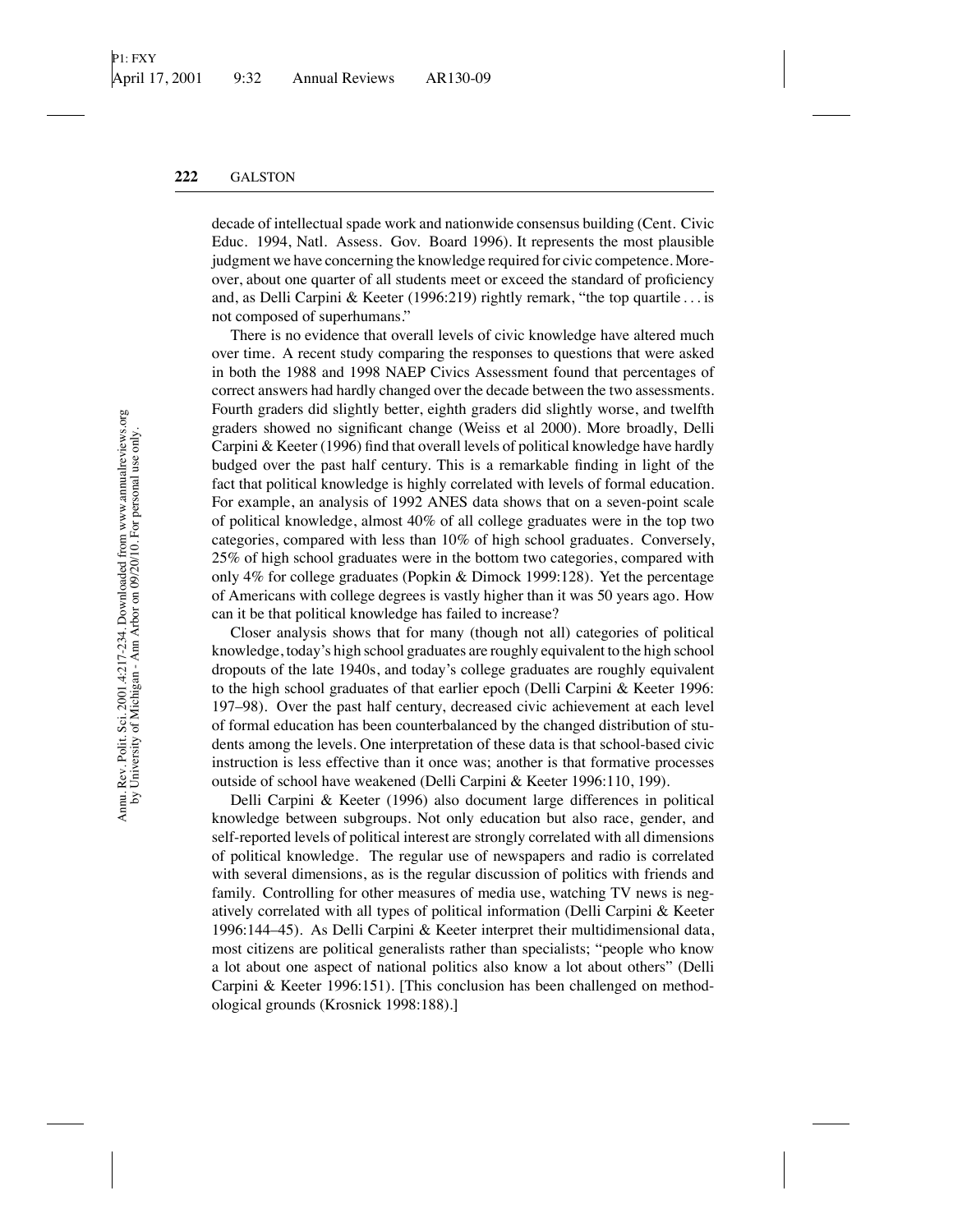decade of intellectual spade work and nationwide consensus building (Cent. Civic Educ. 1994, Natl. Assess. Gov. Board 1996). It represents the most plausible judgment we have concerning the knowledge required for civic competence. Moreover, about one quarter of all students meet or exceed the standard of proficiency and, as Delli Carpini & Keeter (1996:219) rightly remark, "the top quartile *...* is not composed of superhumans."

There is no evidence that overall levels of civic knowledge have altered much over time. A recent study comparing the responses to questions that were asked in both the 1988 and 1998 NAEP Civics Assessment found that percentages of correct answers had hardly changed over the decade between the two assessments. Fourth graders did slightly better, eighth graders did slightly worse, and twelfth graders showed no significant change (Weiss et al 2000). More broadly, Delli Carpini & Keeter (1996) find that overall levels of political knowledge have hardly budged over the past half century. This is a remarkable finding in light of the fact that political knowledge is highly correlated with levels of formal education. For example, an analysis of 1992 ANES data shows that on a seven-point scale of political knowledge, almost 40% of all college graduates were in the top two categories, compared with less than 10% of high school graduates. Conversely, 25% of high school graduates were in the bottom two categories, compared with only 4% for college graduates (Popkin & Dimock 1999:128). Yet the percentage of Americans with college degrees is vastly higher than it was 50 years ago. How can it be that political knowledge has failed to increase?

Closer analysis shows that for many (though not all) categories of political knowledge, today's high school graduates are roughly equivalent to the high school dropouts of the late 1940s, and today's college graduates are roughly equivalent to the high school graduates of that earlier epoch (Delli Carpini & Keeter 1996: 197–98). Over the past half century, decreased civic achievement at each level of formal education has been counterbalanced by the changed distribution of students among the levels. One interpretation of these data is that school-based civic instruction is less effective than it once was; another is that formative processes outside of school have weakened (Delli Carpini & Keeter 1996:110, 199).

Delli Carpini & Keeter (1996) also document large differences in political knowledge between subgroups. Not only education but also race, gender, and self-reported levels of political interest are strongly correlated with all dimensions of political knowledge. The regular use of newspapers and radio is correlated with several dimensions, as is the regular discussion of politics with friends and family. Controlling for other measures of media use, watching TV news is negatively correlated with all types of political information (Delli Carpini & Keeter 1996:144–45). As Delli Carpini & Keeter interpret their multidimensional data, most citizens are political generalists rather than specialists; "people who know a lot about one aspect of national politics also know a lot about others" (Delli Carpini & Keeter 1996:151). [This conclusion has been challenged on methodological grounds (Krosnick 1998:188).]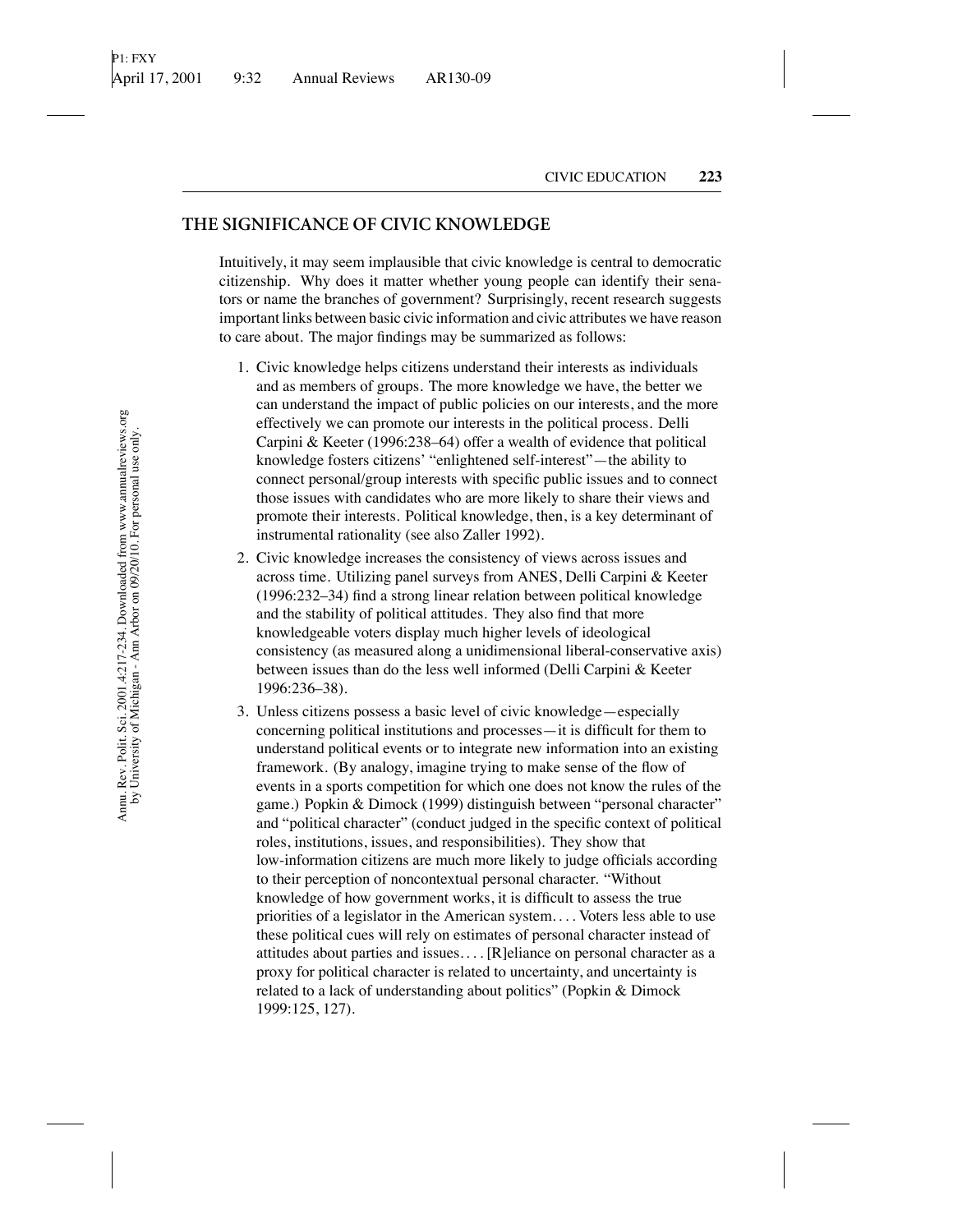## **THE SIGNIFICANCE OF CIVIC KNOWLEDGE**

Intuitively, it may seem implausible that civic knowledge is central to democratic citizenship. Why does it matter whether young people can identify their senators or name the branches of government? Surprisingly, recent research suggests important links between basic civic information and civic attributes we have reason to care about. The major findings may be summarized as follows:

- 1. Civic knowledge helps citizens understand their interests as individuals and as members of groups. The more knowledge we have, the better we can understand the impact of public policies on our interests, and the more effectively we can promote our interests in the political process. Delli Carpini & Keeter (1996:238–64) offer a wealth of evidence that political knowledge fosters citizens' "enlightened self-interest"—the ability to connect personal/group interests with specific public issues and to connect those issues with candidates who are more likely to share their views and promote their interests. Political knowledge, then, is a key determinant of instrumental rationality (see also Zaller 1992).
- 2. Civic knowledge increases the consistency of views across issues and across time. Utilizing panel surveys from ANES, Delli Carpini & Keeter (1996:232–34) find a strong linear relation between political knowledge and the stability of political attitudes. They also find that more knowledgeable voters display much higher levels of ideological consistency (as measured along a unidimensional liberal-conservative axis) between issues than do the less well informed (Delli Carpini & Keeter 1996:236–38).
- 3. Unless citizens possess a basic level of civic knowledge—especially concerning political institutions and processes—it is difficult for them to understand political events or to integrate new information into an existing framework. (By analogy, imagine trying to make sense of the flow of events in a sports competition for which one does not know the rules of the game.) Popkin & Dimock (1999) distinguish between "personal character" and "political character" (conduct judged in the specific context of political roles, institutions, issues, and responsibilities). They show that low-information citizens are much more likely to judge officials according to their perception of noncontextual personal character. "Without knowledge of how government works, it is difficult to assess the true priorities of a legislator in the American system. *...* Voters less able to use these political cues will rely on estimates of personal character instead of attitudes about parties and issues. *...*[R]eliance on personal character as a proxy for political character is related to uncertainty, and uncertainty is related to a lack of understanding about politics" (Popkin & Dimock 1999:125, 127).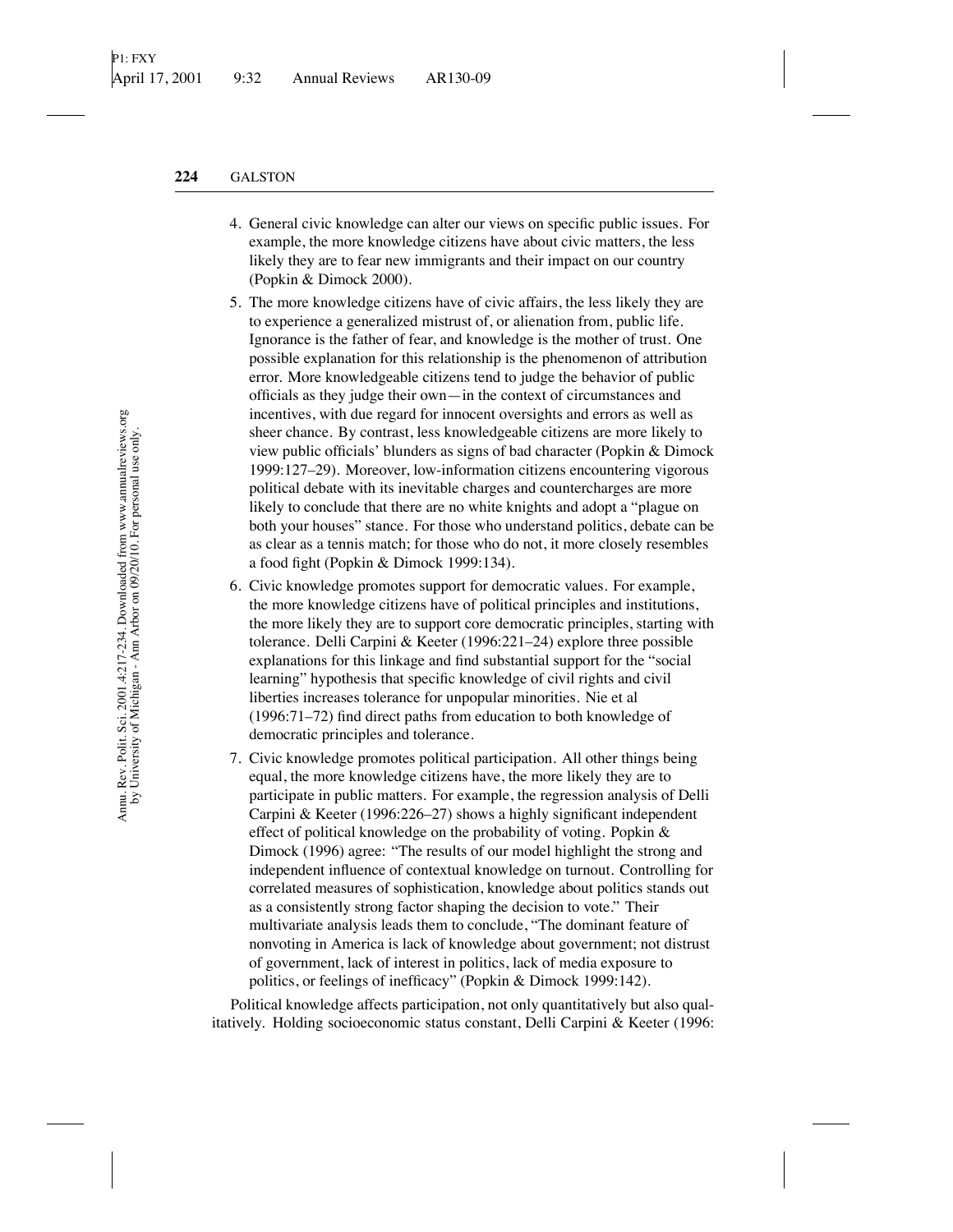- 4. General civic knowledge can alter our views on specific public issues. For example, the more knowledge citizens have about civic matters, the less likely they are to fear new immigrants and their impact on our country (Popkin & Dimock 2000).
- 5. The more knowledge citizens have of civic affairs, the less likely they are to experience a generalized mistrust of, or alienation from, public life. Ignorance is the father of fear, and knowledge is the mother of trust. One possible explanation for this relationship is the phenomenon of attribution error. More knowledgeable citizens tend to judge the behavior of public officials as they judge their own—in the context of circumstances and incentives, with due regard for innocent oversights and errors as well as sheer chance. By contrast, less knowledgeable citizens are more likely to view public officials' blunders as signs of bad character (Popkin & Dimock 1999:127–29). Moreover, low-information citizens encountering vigorous political debate with its inevitable charges and countercharges are more likely to conclude that there are no white knights and adopt a "plague on both your houses" stance. For those who understand politics, debate can be as clear as a tennis match; for those who do not, it more closely resembles a food fight (Popkin & Dimock 1999:134).
- 6. Civic knowledge promotes support for democratic values. For example, the more knowledge citizens have of political principles and institutions, the more likely they are to support core democratic principles, starting with tolerance. Delli Carpini & Keeter (1996:221–24) explore three possible explanations for this linkage and find substantial support for the "social learning" hypothesis that specific knowledge of civil rights and civil liberties increases tolerance for unpopular minorities. Nie et al (1996:71–72) find direct paths from education to both knowledge of democratic principles and tolerance.
- 7. Civic knowledge promotes political participation. All other things being equal, the more knowledge citizens have, the more likely they are to participate in public matters. For example, the regression analysis of Delli Carpini & Keeter (1996:226–27) shows a highly significant independent effect of political knowledge on the probability of voting. Popkin & Dimock (1996) agree: "The results of our model highlight the strong and independent influence of contextual knowledge on turnout. Controlling for correlated measures of sophistication, knowledge about politics stands out as a consistently strong factor shaping the decision to vote." Their multivariate analysis leads them to conclude, "The dominant feature of nonvoting in America is lack of knowledge about government; not distrust of government, lack of interest in politics, lack of media exposure to politics, or feelings of inefficacy" (Popkin & Dimock 1999:142).

Political knowledge affects participation, not only quantitatively but also qualitatively. Holding socioeconomic status constant, Delli Carpini & Keeter (1996: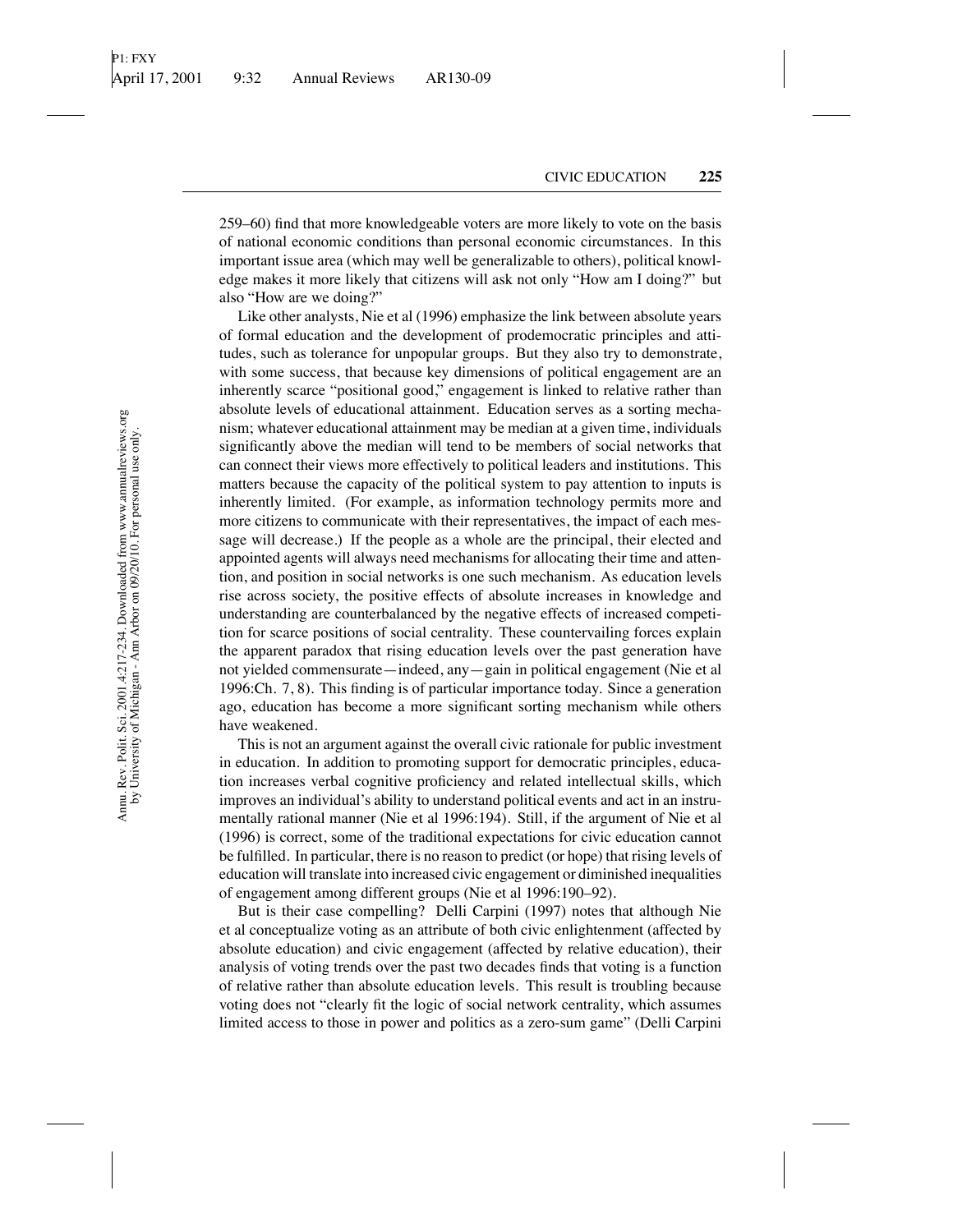259–60) find that more knowledgeable voters are more likely to vote on the basis of national economic conditions than personal economic circumstances. In this important issue area (which may well be generalizable to others), political knowledge makes it more likely that citizens will ask not only "How am I doing?" but also "How are we doing?"

Like other analysts, Nie et al (1996) emphasize the link between absolute years of formal education and the development of prodemocratic principles and attitudes, such as tolerance for unpopular groups. But they also try to demonstrate, with some success, that because key dimensions of political engagement are an inherently scarce "positional good," engagement is linked to relative rather than absolute levels of educational attainment. Education serves as a sorting mechanism; whatever educational attainment may be median at a given time, individuals significantly above the median will tend to be members of social networks that can connect their views more effectively to political leaders and institutions. This matters because the capacity of the political system to pay attention to inputs is inherently limited. (For example, as information technology permits more and more citizens to communicate with their representatives, the impact of each message will decrease.) If the people as a whole are the principal, their elected and appointed agents will always need mechanisms for allocating their time and attention, and position in social networks is one such mechanism. As education levels rise across society, the positive effects of absolute increases in knowledge and understanding are counterbalanced by the negative effects of increased competition for scarce positions of social centrality. These countervailing forces explain the apparent paradox that rising education levels over the past generation have not yielded commensurate—indeed, any—gain in political engagement (Nie et al 1996:Ch. 7, 8). This finding is of particular importance today. Since a generation ago, education has become a more significant sorting mechanism while others have weakened.

This is not an argument against the overall civic rationale for public investment in education. In addition to promoting support for democratic principles, education increases verbal cognitive proficiency and related intellectual skills, which improves an individual's ability to understand political events and act in an instrumentally rational manner (Nie et al 1996:194). Still, if the argument of Nie et al (1996) is correct, some of the traditional expectations for civic education cannot be fulfilled. In particular, there is no reason to predict (or hope) that rising levels of education will translate into increased civic engagement or diminished inequalities of engagement among different groups (Nie et al 1996:190–92).

But is their case compelling? Delli Carpini (1997) notes that although Nie et al conceptualize voting as an attribute of both civic enlightenment (affected by absolute education) and civic engagement (affected by relative education), their analysis of voting trends over the past two decades finds that voting is a function of relative rather than absolute education levels. This result is troubling because voting does not "clearly fit the logic of social network centrality, which assumes limited access to those in power and politics as a zero-sum game" (Delli Carpini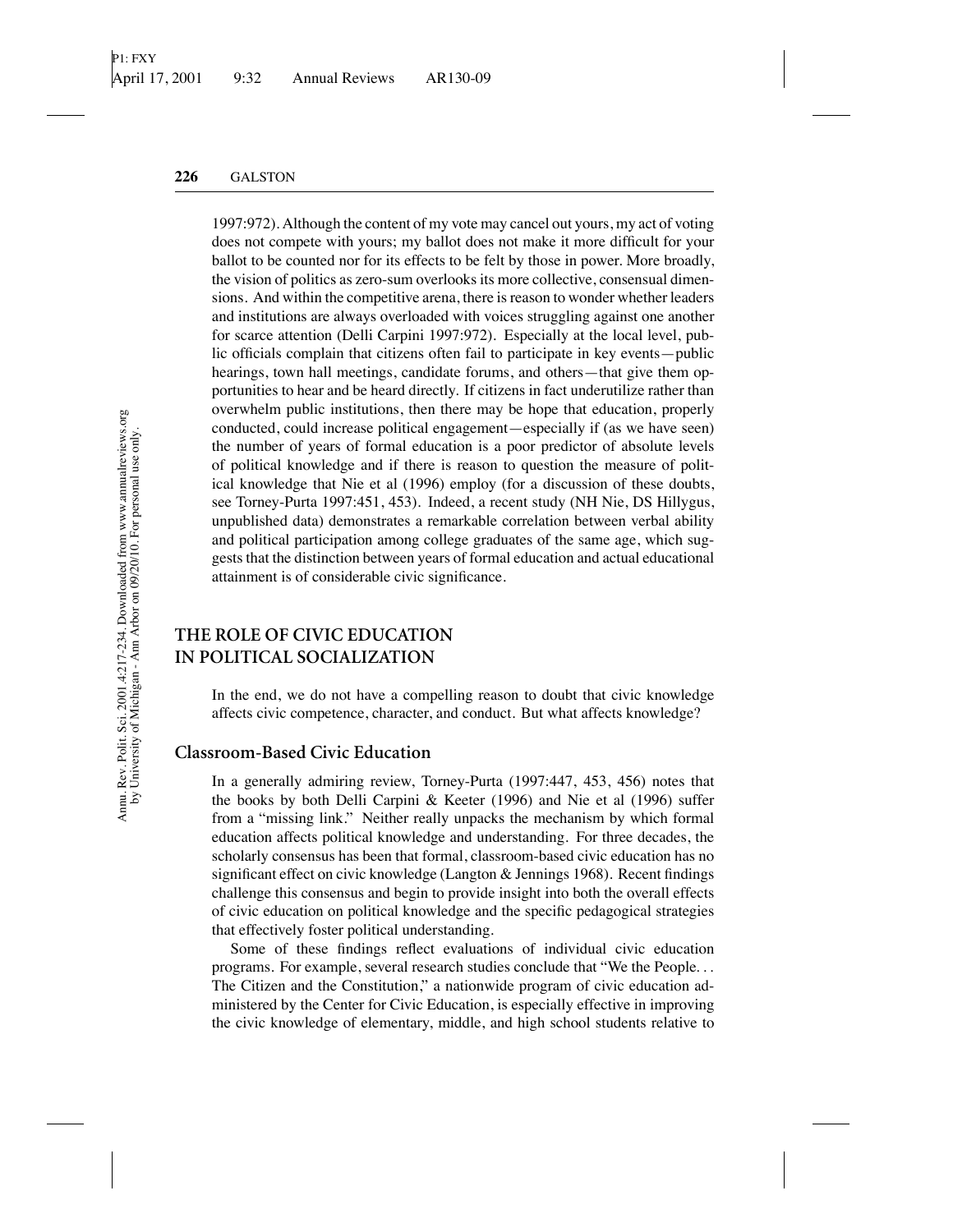1997:972). Although the content of my vote may cancel out yours, my act of voting does not compete with yours; my ballot does not make it more difficult for your ballot to be counted nor for its effects to be felt by those in power. More broadly, the vision of politics as zero-sum overlooks its more collective, consensual dimensions. And within the competitive arena, there is reason to wonder whether leaders and institutions are always overloaded with voices struggling against one another for scarce attention (Delli Carpini 1997:972). Especially at the local level, public officials complain that citizens often fail to participate in key events—public hearings, town hall meetings, candidate forums, and others—that give them opportunities to hear and be heard directly. If citizens in fact underutilize rather than overwhelm public institutions, then there may be hope that education, properly conducted, could increase political engagement—especially if (as we have seen) the number of years of formal education is a poor predictor of absolute levels of political knowledge and if there is reason to question the measure of political knowledge that Nie et al (1996) employ (for a discussion of these doubts, see Torney-Purta 1997:451, 453). Indeed, a recent study (NH Nie, DS Hillygus, unpublished data) demonstrates a remarkable correlation between verbal ability and political participation among college graduates of the same age, which suggests that the distinction between years of formal education and actual educational attainment is of considerable civic significance.

## **THE ROLE OF CIVIC EDUCATION IN POLITICAL SOCIALIZATION**

In the end, we do not have a compelling reason to doubt that civic knowledge affects civic competence, character, and conduct. But what affects knowledge?

#### **Classroom-Based Civic Education**

In a generally admiring review, Torney-Purta (1997:447, 453, 456) notes that the books by both Delli Carpini & Keeter (1996) and Nie et al (1996) suffer from a "missing link." Neither really unpacks the mechanism by which formal education affects political knowledge and understanding. For three decades, the scholarly consensus has been that formal, classroom-based civic education has no significant effect on civic knowledge (Langton & Jennings 1968). Recent findings challenge this consensus and begin to provide insight into both the overall effects of civic education on political knowledge and the specific pedagogical strategies that effectively foster political understanding.

Some of these findings reflect evaluations of individual civic education programs. For example, several research studies conclude that "We the People*...* The Citizen and the Constitution," a nationwide program of civic education administered by the Center for Civic Education, is especially effective in improving the civic knowledge of elementary, middle, and high school students relative to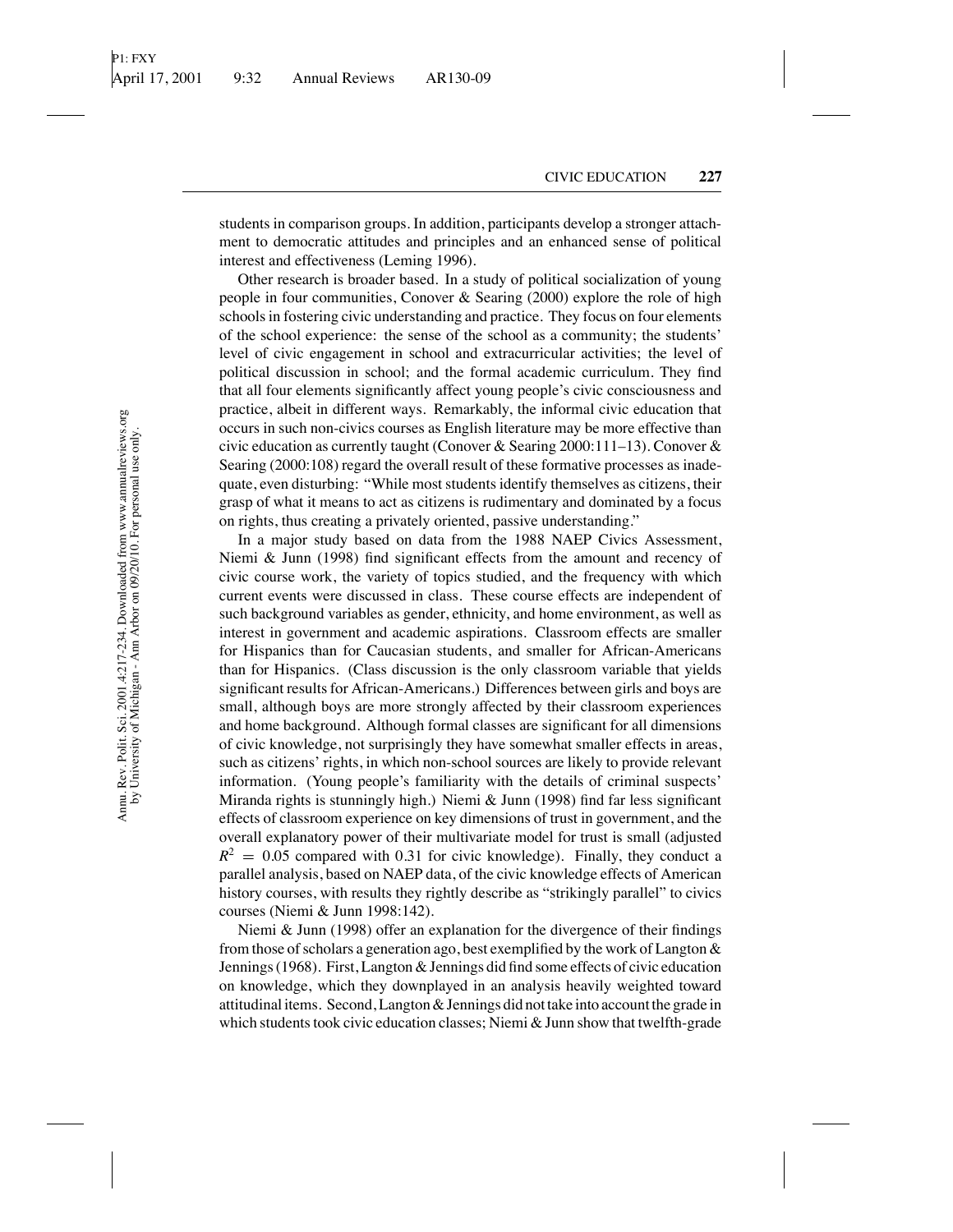students in comparison groups. In addition, participants develop a stronger attachment to democratic attitudes and principles and an enhanced sense of political interest and effectiveness (Leming 1996).

Other research is broader based. In a study of political socialization of young people in four communities, Conover & Searing (2000) explore the role of high schools in fostering civic understanding and practice. They focus on four elements of the school experience: the sense of the school as a community; the students' level of civic engagement in school and extracurricular activities; the level of political discussion in school; and the formal academic curriculum. They find that all four elements significantly affect young people's civic consciousness and practice, albeit in different ways. Remarkably, the informal civic education that occurs in such non-civics courses as English literature may be more effective than civic education as currently taught (Conover & Searing 2000:111–13). Conover & Searing (2000:108) regard the overall result of these formative processes as inadequate, even disturbing: "While most students identify themselves as citizens, their grasp of what it means to act as citizens is rudimentary and dominated by a focus on rights, thus creating a privately oriented, passive understanding."

In a major study based on data from the 1988 NAEP Civics Assessment, Niemi & Junn (1998) find significant effects from the amount and recency of civic course work, the variety of topics studied, and the frequency with which current events were discussed in class. These course effects are independent of such background variables as gender, ethnicity, and home environment, as well as interest in government and academic aspirations. Classroom effects are smaller for Hispanics than for Caucasian students, and smaller for African-Americans than for Hispanics. (Class discussion is the only classroom variable that yields significant results for African-Americans.) Differences between girls and boys are small, although boys are more strongly affected by their classroom experiences and home background. Although formal classes are significant for all dimensions of civic knowledge, not surprisingly they have somewhat smaller effects in areas, such as citizens' rights, in which non-school sources are likely to provide relevant information. (Young people's familiarity with the details of criminal suspects' Miranda rights is stunningly high.) Niemi & Junn (1998) find far less significant effects of classroom experience on key dimensions of trust in government, and the overall explanatory power of their multivariate model for trust is small (adjusted  $R^2 = 0.05$  compared with 0.31 for civic knowledge). Finally, they conduct a parallel analysis, based on NAEP data, of the civic knowledge effects of American history courses, with results they rightly describe as "strikingly parallel" to civics courses (Niemi & Junn 1998:142).

Niemi & Junn (1998) offer an explanation for the divergence of their findings from those of scholars a generation ago, best exemplified by the work of Langton & Jennings (1968). First, Langton & Jennings did find some effects of civic education on knowledge, which they downplayed in an analysis heavily weighted toward attitudinal items. Second, Langton & Jennings did not take into account the grade in which students took civic education classes; Niemi & Junn show that twelfth-grade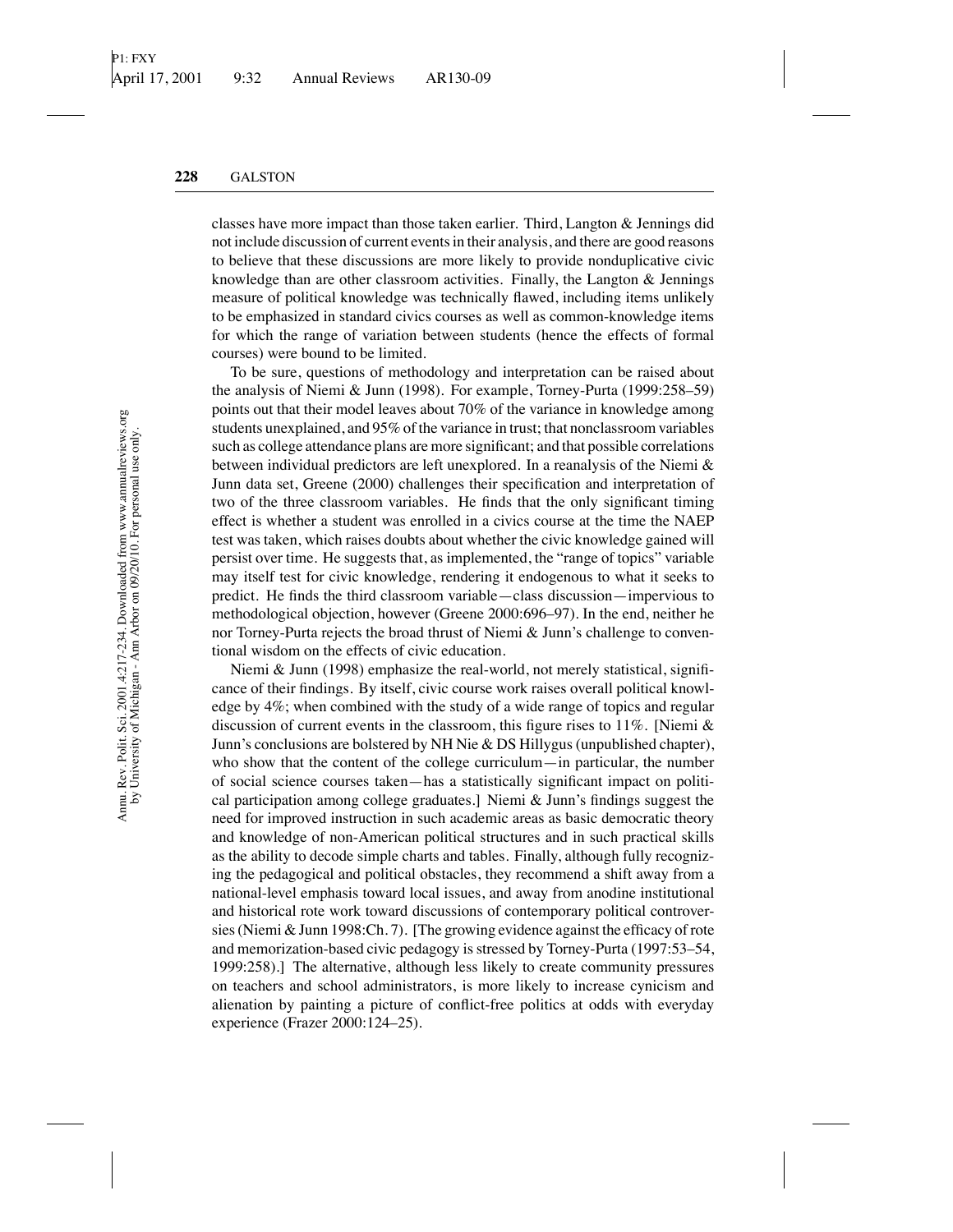classes have more impact than those taken earlier. Third, Langton & Jennings did not include discussion of current events in their analysis, and there are good reasons to believe that these discussions are more likely to provide nonduplicative civic knowledge than are other classroom activities. Finally, the Langton  $\&$  Jennings measure of political knowledge was technically flawed, including items unlikely to be emphasized in standard civics courses as well as common-knowledge items for which the range of variation between students (hence the effects of formal courses) were bound to be limited.

To be sure, questions of methodology and interpretation can be raised about the analysis of Niemi & Junn (1998). For example, Torney-Purta (1999:258–59) points out that their model leaves about 70% of the variance in knowledge among students unexplained, and 95% of the variance in trust; that nonclassroom variables such as college attendance plans are more significant; and that possible correlations between individual predictors are left unexplored. In a reanalysis of the Niemi  $\&$ Junn data set, Greene (2000) challenges their specification and interpretation of two of the three classroom variables. He finds that the only significant timing effect is whether a student was enrolled in a civics course at the time the NAEP test was taken, which raises doubts about whether the civic knowledge gained will persist over time. He suggests that, as implemented, the "range of topics" variable may itself test for civic knowledge, rendering it endogenous to what it seeks to predict. He finds the third classroom variable—class discussion—impervious to methodological objection, however (Greene 2000:696–97). In the end, neither he nor Torney-Purta rejects the broad thrust of Niemi & Junn's challenge to conventional wisdom on the effects of civic education.

Niemi & Junn (1998) emphasize the real-world, not merely statistical, significance of their findings. By itself, civic course work raises overall political knowledge by 4%; when combined with the study of a wide range of topics and regular discussion of current events in the classroom, this figure rises to  $11\%$ . [Niemi & Junn's conclusions are bolstered by NH Nie & DS Hillygus (unpublished chapter), who show that the content of the college curriculum—in particular, the number of social science courses taken—has a statistically significant impact on political participation among college graduates.] Niemi & Junn's findings suggest the need for improved instruction in such academic areas as basic democratic theory and knowledge of non-American political structures and in such practical skills as the ability to decode simple charts and tables. Finally, although fully recognizing the pedagogical and political obstacles, they recommend a shift away from a national-level emphasis toward local issues, and away from anodine institutional and historical rote work toward discussions of contemporary political controversies (Niemi & Junn 1998:Ch. 7). [The growing evidence against the efficacy of rote and memorization-based civic pedagogy is stressed by Torney-Purta (1997:53–54, 1999:258).] The alternative, although less likely to create community pressures on teachers and school administrators, is more likely to increase cynicism and alienation by painting a picture of conflict-free politics at odds with everyday experience (Frazer 2000:124–25).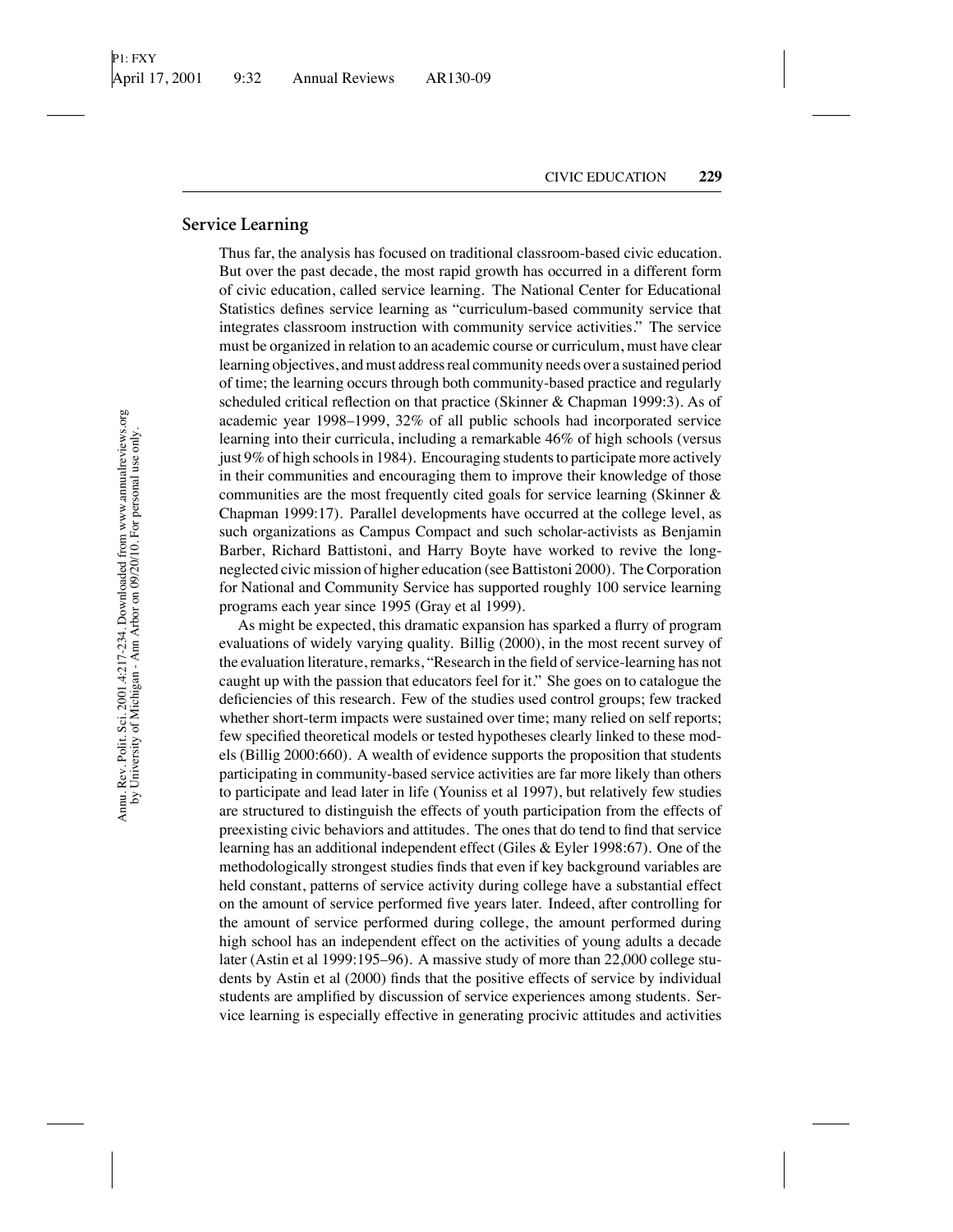#### **Service Learning**

Thus far, the analysis has focused on traditional classroom-based civic education. But over the past decade, the most rapid growth has occurred in a different form of civic education, called service learning. The National Center for Educational Statistics defines service learning as "curriculum-based community service that integrates classroom instruction with community service activities." The service must be organized in relation to an academic course or curriculum, must have clear learning objectives, and must address real community needs over a sustained period of time; the learning occurs through both community-based practice and regularly scheduled critical reflection on that practice (Skinner & Chapman 1999:3). As of academic year 1998–1999, 32% of all public schools had incorporated service learning into their curricula, including a remarkable 46% of high schools (versus just 9% of high schools in 1984). Encouraging students to participate more actively in their communities and encouraging them to improve their knowledge of those communities are the most frequently cited goals for service learning (Skinner & Chapman 1999:17). Parallel developments have occurred at the college level, as such organizations as Campus Compact and such scholar-activists as Benjamin Barber, Richard Battistoni, and Harry Boyte have worked to revive the longneglected civic mission of higher education (see Battistoni 2000). The Corporation for National and Community Service has supported roughly 100 service learning programs each year since 1995 (Gray et al 1999).

As might be expected, this dramatic expansion has sparked a flurry of program evaluations of widely varying quality. Billig (2000), in the most recent survey of the evaluation literature, remarks, "Research in the field of service-learning has not caught up with the passion that educators feel for it." She goes on to catalogue the deficiencies of this research. Few of the studies used control groups; few tracked whether short-term impacts were sustained over time; many relied on self reports; few specified theoretical models or tested hypotheses clearly linked to these models (Billig 2000:660). A wealth of evidence supports the proposition that students participating in community-based service activities are far more likely than others to participate and lead later in life (Youniss et al 1997), but relatively few studies are structured to distinguish the effects of youth participation from the effects of preexisting civic behaviors and attitudes. The ones that do tend to find that service learning has an additional independent effect (Giles & Eyler 1998:67). One of the methodologically strongest studies finds that even if key background variables are held constant, patterns of service activity during college have a substantial effect on the amount of service performed five years later. Indeed, after controlling for the amount of service performed during college, the amount performed during high school has an independent effect on the activities of young adults a decade later (Astin et al 1999:195–96). A massive study of more than 22,000 college students by Astin et al (2000) finds that the positive effects of service by individual students are amplified by discussion of service experiences among students. Service learning is especially effective in generating procivic attitudes and activities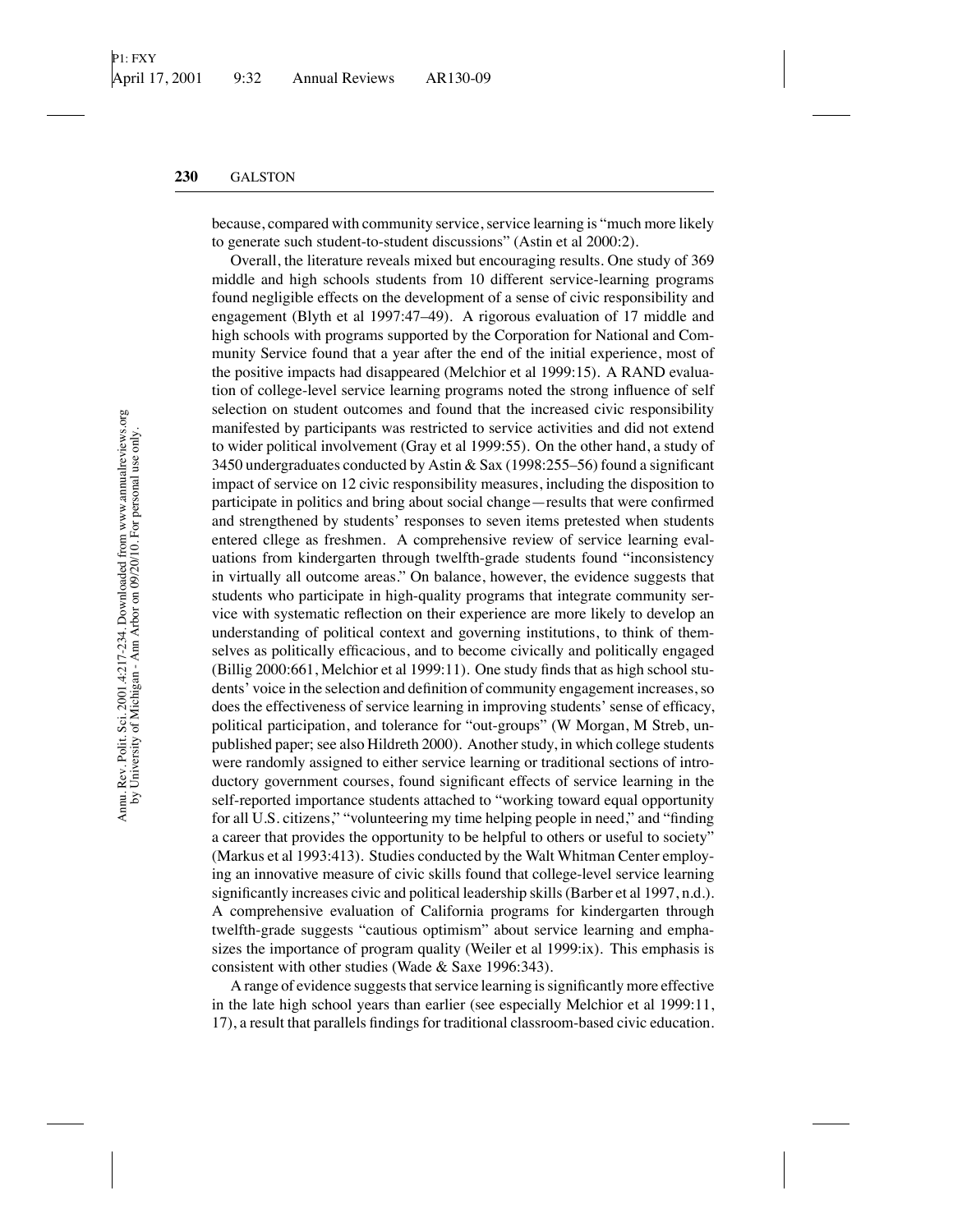because, compared with community service, service learning is "much more likely to generate such student-to-student discussions" (Astin et al 2000:2).

Overall, the literature reveals mixed but encouraging results. One study of 369 middle and high schools students from 10 different service-learning programs found negligible effects on the development of a sense of civic responsibility and engagement (Blyth et al 1997:47–49). A rigorous evaluation of 17 middle and high schools with programs supported by the Corporation for National and Community Service found that a year after the end of the initial experience, most of the positive impacts had disappeared (Melchior et al 1999:15). A RAND evaluation of college-level service learning programs noted the strong influence of self selection on student outcomes and found that the increased civic responsibility manifested by participants was restricted to service activities and did not extend to wider political involvement (Gray et al 1999:55). On the other hand, a study of 3450 undergraduates conducted by Astin & Sax (1998:255–56) found a significant impact of service on 12 civic responsibility measures, including the disposition to participate in politics and bring about social change—results that were confirmed and strengthened by students' responses to seven items pretested when students entered cllege as freshmen. A comprehensive review of service learning evaluations from kindergarten through twelfth-grade students found "inconsistency in virtually all outcome areas." On balance, however, the evidence suggests that students who participate in high-quality programs that integrate community service with systematic reflection on their experience are more likely to develop an understanding of political context and governing institutions, to think of themselves as politically efficacious, and to become civically and politically engaged (Billig 2000:661, Melchior et al 1999:11). One study finds that as high school students' voice in the selection and definition of community engagement increases, so does the effectiveness of service learning in improving students' sense of efficacy, political participation, and tolerance for "out-groups" (W Morgan, M Streb, unpublished paper; see also Hildreth 2000). Another study, in which college students were randomly assigned to either service learning or traditional sections of introductory government courses, found significant effects of service learning in the self-reported importance students attached to "working toward equal opportunity for all U.S. citizens," "volunteering my time helping people in need," and "finding a career that provides the opportunity to be helpful to others or useful to society" (Markus et al 1993:413). Studies conducted by the Walt Whitman Center employing an innovative measure of civic skills found that college-level service learning significantly increases civic and political leadership skills (Barber et al 1997, n.d.). A comprehensive evaluation of California programs for kindergarten through twelfth-grade suggests "cautious optimism" about service learning and emphasizes the importance of program quality (Weiler et al 1999:ix). This emphasis is consistent with other studies (Wade & Saxe 1996:343).

A range of evidence suggests that service learning is significantly more effective in the late high school years than earlier (see especially Melchior et al 1999:11, 17), a result that parallels findings for traditional classroom-based civic education.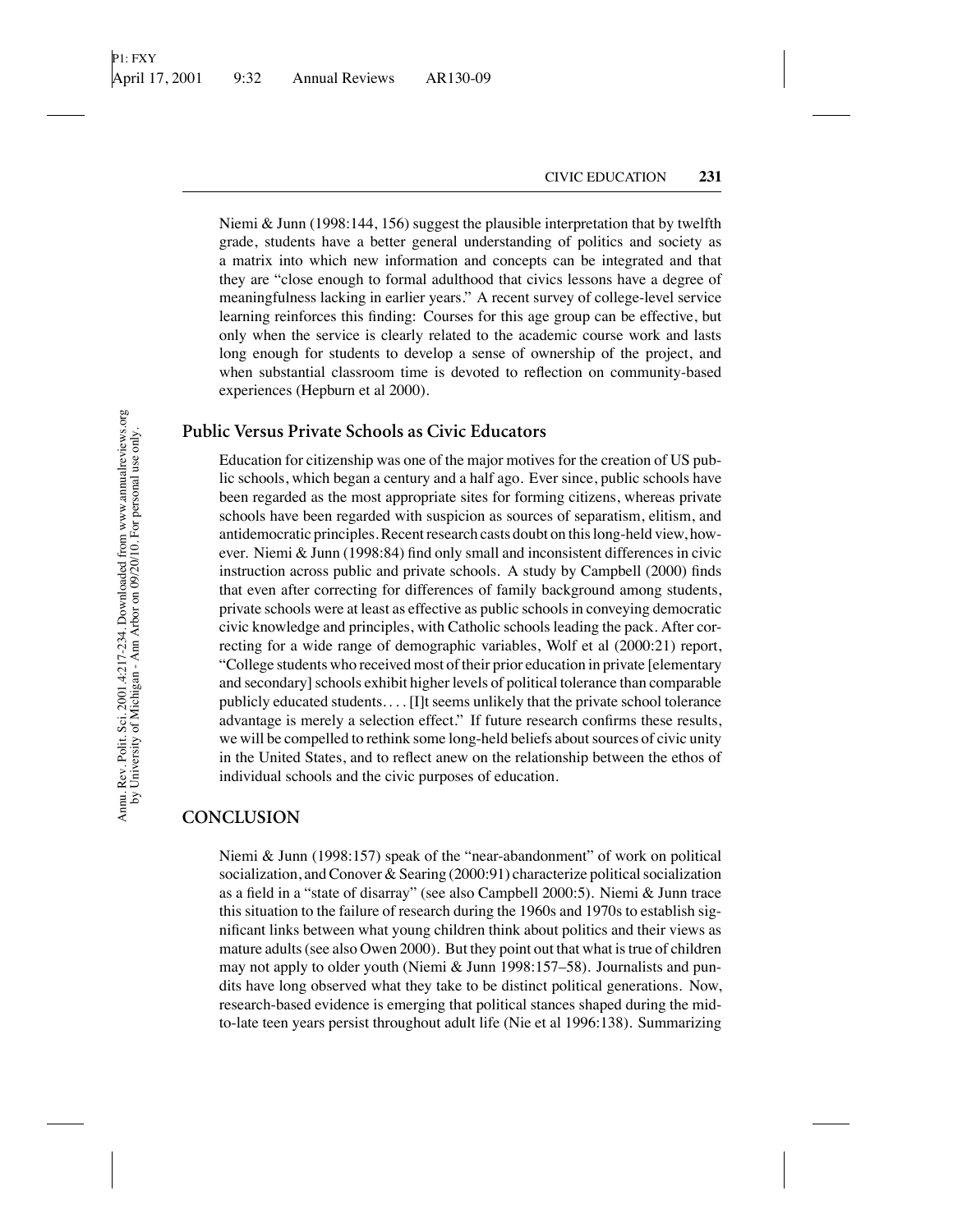Niemi & Junn (1998:144, 156) suggest the plausible interpretation that by twelfth grade, students have a better general understanding of politics and society as a matrix into which new information and concepts can be integrated and that they are "close enough to formal adulthood that civics lessons have a degree of meaningfulness lacking in earlier years." A recent survey of college-level service learning reinforces this finding: Courses for this age group can be effective, but only when the service is clearly related to the academic course work and lasts long enough for students to develop a sense of ownership of the project, and when substantial classroom time is devoted to reflection on community-based experiences (Hepburn et al 2000).

## **Public Versus Private Schools as Civic Educators**

Education for citizenship was one of the major motives for the creation of US public schools, which began a century and a half ago. Ever since, public schools have been regarded as the most appropriate sites for forming citizens, whereas private schools have been regarded with suspicion as sources of separatism, elitism, and antidemocratic principles. Recent research casts doubt on this long-held view, however. Niemi & Junn (1998:84) find only small and inconsistent differences in civic instruction across public and private schools. A study by Campbell (2000) finds that even after correcting for differences of family background among students, private schools were at least as effective as public schools in conveying democratic civic knowledge and principles, with Catholic schools leading the pack. After correcting for a wide range of demographic variables, Wolf et al (2000:21) report, "College students who received most of their prior education in private [elementary and secondary] schools exhibit higher levels of political tolerance than comparable publicly educated students. *...*[I]t seems unlikely that the private school tolerance advantage is merely a selection effect." If future research confirms these results, we will be compelled to rethink some long-held beliefs about sources of civic unity in the United States, and to reflect anew on the relationship between the ethos of individual schools and the civic purposes of education.

### **CONCLUSION**

Niemi & Junn (1998:157) speak of the "near-abandonment" of work on political socialization, and Conover & Searing (2000:91) characterize political socialization as a field in a "state of disarray" (see also Campbell 2000:5). Niemi & Junn trace this situation to the failure of research during the 1960s and 1970s to establish significant links between what young children think about politics and their views as mature adults (see also Owen 2000). But they point out that what is true of children may not apply to older youth (Niemi & Junn 1998:157–58). Journalists and pundits have long observed what they take to be distinct political generations. Now, research-based evidence is emerging that political stances shaped during the midto-late teen years persist throughout adult life (Nie et al 1996:138). Summarizing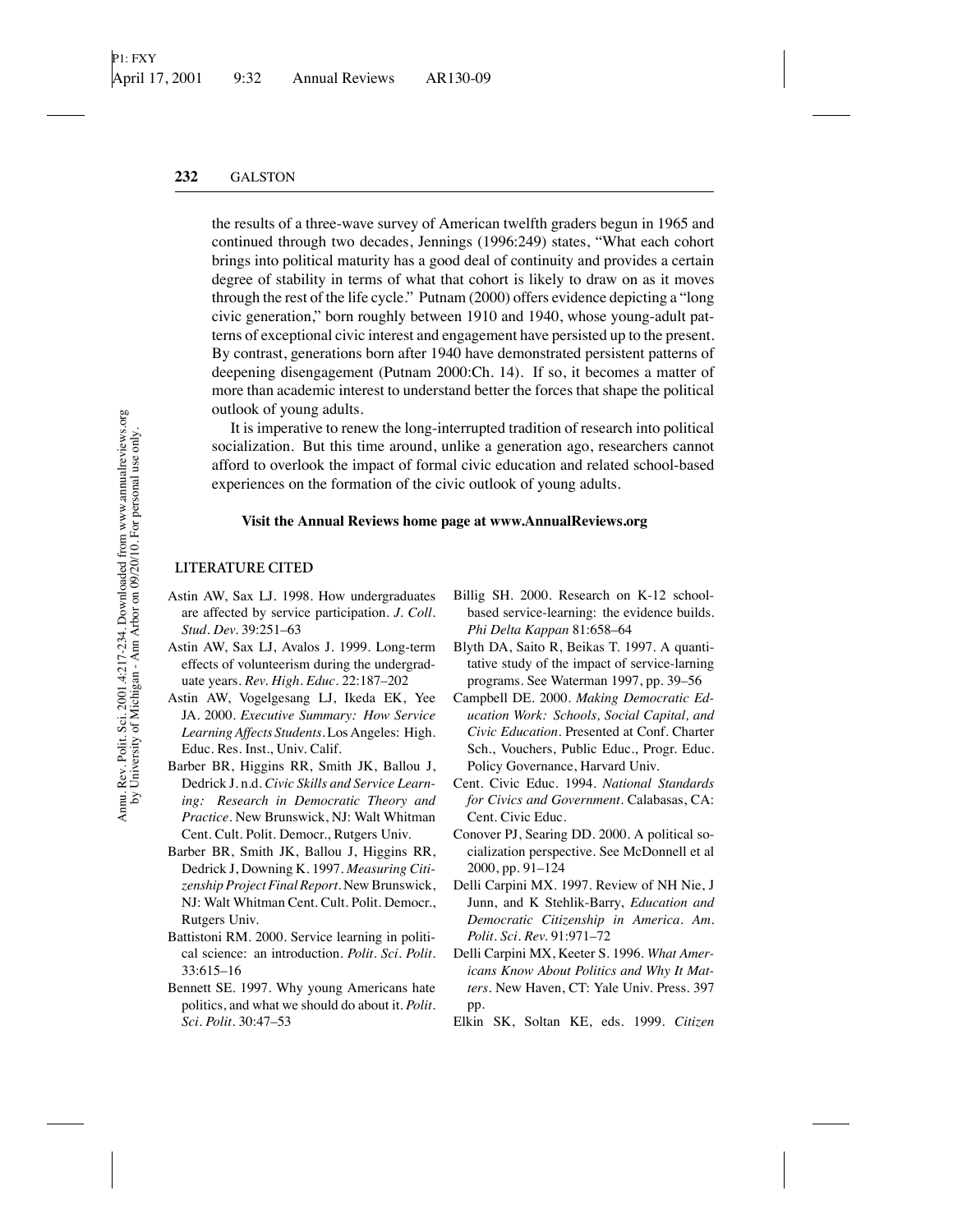the results of a three-wave survey of American twelfth graders begun in 1965 and continued through two decades, Jennings (1996:249) states, "What each cohort brings into political maturity has a good deal of continuity and provides a certain degree of stability in terms of what that cohort is likely to draw on as it moves through the rest of the life cycle." Putnam (2000) offers evidence depicting a "long civic generation," born roughly between 1910 and 1940, whose young-adult patterns of exceptional civic interest and engagement have persisted up to the present. By contrast, generations born after 1940 have demonstrated persistent patterns of deepening disengagement (Putnam 2000:Ch. 14). If so, it becomes a matter of more than academic interest to understand better the forces that shape the political outlook of young adults.

It is imperative to renew the long-interrupted tradition of research into political socialization. But this time around, unlike a generation ago, researchers cannot afford to overlook the impact of formal civic education and related school-based experiences on the formation of the civic outlook of young adults.

#### **Visit the Annual Reviews home page at www.AnnualReviews.org**

#### **LITERATURE CITED**

- Astin AW, Sax LJ. 1998. How undergraduates are affected by service participation. *J. Coll. Stud. Dev.* 39:251–63
- Astin AW, Sax LJ, Avalos J. 1999. Long-term effects of volunteerism during the undergraduate years. *Rev. High. Educ.* 22:187–202
- Astin AW, Vogelgesang LJ, Ikeda EK, Yee JA. 2000. *Executive Summary: How Service Learning Affects Students*. Los Angeles: High. Educ. Res. Inst., Univ. Calif.
- Barber BR, Higgins RR, Smith JK, Ballou J, Dedrick J. n.d. *Civic Skills and Service Learning: Research in Democratic Theory and Practice*. New Brunswick, NJ: Walt Whitman Cent. Cult. Polit. Democr., Rutgers Univ.
- Barber BR, Smith JK, Ballou J, Higgins RR, Dedrick J, Downing K. 1997. *Measuring Citizenship Project Final Report*. New Brunswick, NJ: Walt Whitman Cent. Cult. Polit. Democr., Rutgers Univ.
- Battistoni RM. 2000. Service learning in political science: an introduction. *Polit. Sci. Polit.* 33:615–16
- Bennett SE. 1997. Why young Americans hate politics, and what we should do about it. *Polit. Sci. Polit.* 30:47–53
- Billig SH. 2000. Research on K-12 schoolbased service-learning: the evidence builds. *Phi Delta Kappan* 81:658–64
- Blyth DA, Saito R, Beikas T. 1997. A quantitative study of the impact of service-larning programs. See Waterman 1997, pp. 39–56
- Campbell DE. 2000. *Making Democratic Education Work: Schools, Social Capital, and Civic Education*. Presented at Conf. Charter Sch., Vouchers, Public Educ., Progr. Educ. Policy Governance, Harvard Univ.
- Cent. Civic Educ. 1994. *National Standards for Civics and Government*. Calabasas, CA: Cent. Civic Educ.
- Conover PJ, Searing DD. 2000. A political socialization perspective. See McDonnell et al 2000, pp. 91–124
- Delli Carpini MX. 1997. Review of NH Nie, J Junn, and K Stehlik-Barry, *Education and Democratic Citizenship in America*. *Am. Polit. Sci. Rev.* 91:971–72
- Delli Carpini MX, Keeter S. 1996. *What Americans Know About Politics and Why It Matters*. New Haven, CT: Yale Univ. Press. 397 pp.
- Elkin SK, Soltan KE, eds. 1999. *Citizen*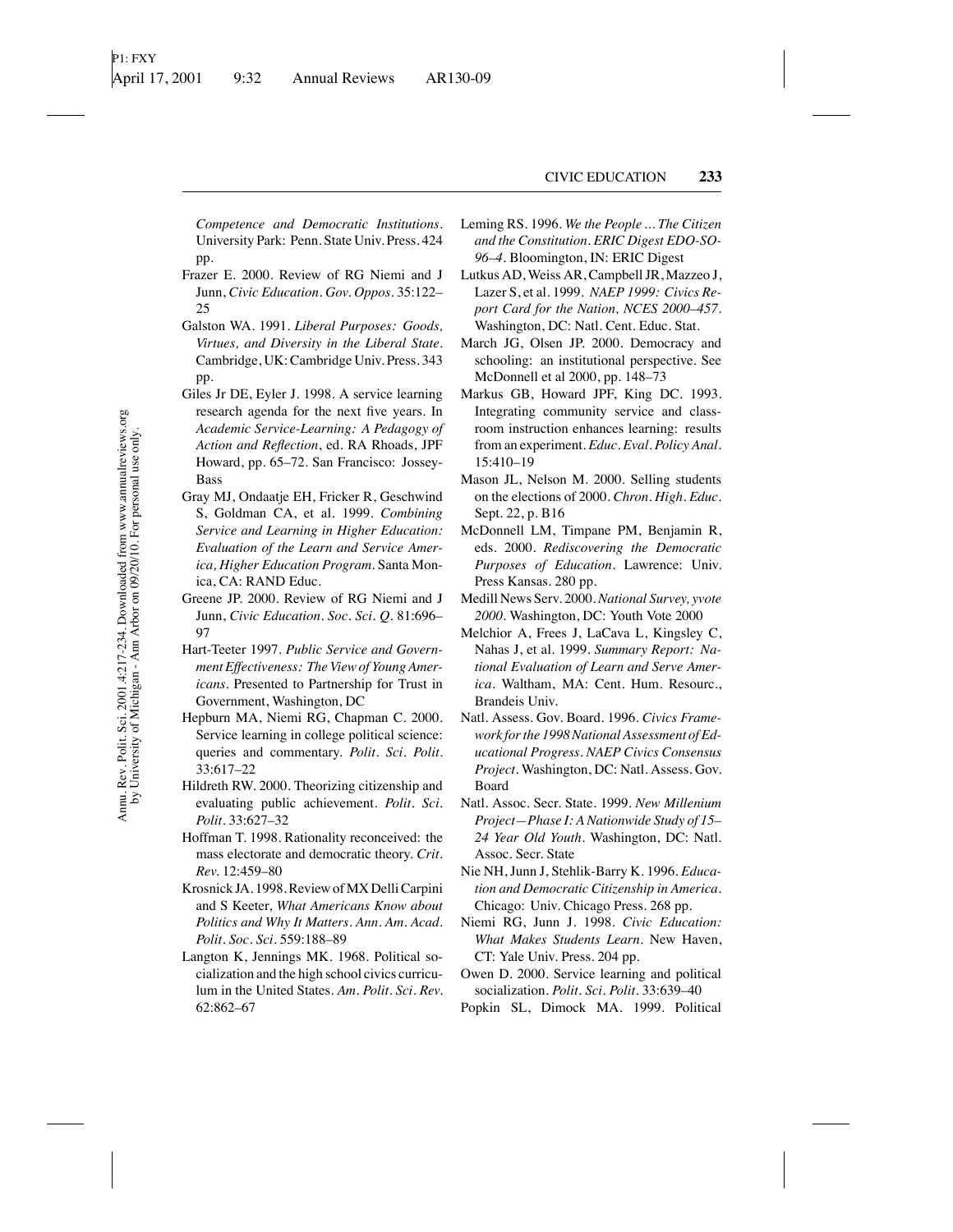*Competence and Democratic Institutions*. University Park: Penn. State Univ. Press. 424 pp.

- Frazer E. 2000. Review of RG Niemi and J Junn, *Civic Education*. *Gov. Oppos.* 35:122– 25
- Galston WA. 1991. *Liberal Purposes: Goods, Virtues, and Diversity in the Liberal State*. Cambridge, UK: Cambridge Univ. Press. 343 pp.
- Giles Jr DE, Eyler J. 1998. A service learning research agenda for the next five years. In *Academic Service-Learning: A Pedagogy of Action and Reflection*, ed. RA Rhoads, JPF Howard, pp. 65–72. San Francisco: Jossey-Bass
- Gray MJ, Ondaatje EH, Fricker R, Geschwind S, Goldman CA, et al. 1999. *Combining Service and Learning in Higher Education: Evaluation of the Learn and Service America, Higher Education Program*. Santa Monica, CA: RAND Educ.
- Greene JP. 2000. Review of RG Niemi and J Junn, *Civic Education*. *Soc. Sci. Q.* 81:696– 97
- Hart-Teeter 1997. *Public Service and Government Effectiveness: The View of Young Americans*. Presented to Partnership for Trust in Government, Washington, DC
- Hepburn MA, Niemi RG, Chapman C. 2000. Service learning in college political science: queries and commentary. *Polit. Sci. Polit.* 33:617–22
- Hildreth RW. 2000. Theorizing citizenship and evaluating public achievement. *Polit. Sci. Polit.* 33:627–32
- Hoffman T. 1998. Rationality reconceived: the mass electorate and democratic theory. *Crit. Rev.* 12:459–80
- Krosnick JA. 1998. Review ofMX Delli Carpini and S Keeter, *What Americans Know about Politics and Why It Matters*. *Ann. Am. Acad. Polit. Soc. Sci.* 559:188–89
- Langton K, Jennings MK. 1968. Political socialization and the high school civics curriculum in the United States. *Am. Polit. Sci. Rev.* 62:862–67
- Leming RS. 1996. *We the People ... The Citizen and the Constitution. ERIC Digest EDO-SO-96–4*. Bloomington, IN: ERIC Digest
- Lutkus AD, Weiss AR, Campbell JR, Mazzeo J, Lazer S, et al. 1999. *NAEP 1999: Civics Report Card for the Nation, NCES 2000–457*. Washington, DC: Natl. Cent. Educ. Stat.
- March JG, Olsen JP. 2000. Democracy and schooling: an institutional perspective. See McDonnell et al 2000, pp. 148–73
- Markus GB, Howard JPF, King DC. 1993. Integrating community service and classroom instruction enhances learning: results from an experiment. *Educ. Eval. Policy Anal.* 15:410–19
- Mason JL, Nelson M. 2000. Selling students on the elections of 2000. *Chron. High. Educ.* Sept. 22, p. B16
- McDonnell LM, Timpane PM, Benjamin R, eds. 2000. *Rediscovering the Democratic Purposes of Education*. Lawrence: Univ. Press Kansas. 280 pp.
- Medill News Serv. 2000.*National Survey, yvote 2000*. Washington, DC: Youth Vote 2000
- Melchior A, Frees J, LaCava L, Kingsley C, Nahas J, et al. 1999. *Summary Report: National Evaluation of Learn and Serve America*. Waltham, MA: Cent. Hum. Resourc., Brandeis Univ.
- Natl. Assess. Gov. Board. 1996. *Civics Framework for the 1998 National Assessment of Educational Progress. NAEP Civics Consensus Project*. Washington, DC: Natl. Assess. Gov. Board
- Natl. Assoc. Secr. State. 1999. *New Millenium Project—Phase I: A Nationwide Study of 15– 24 Year Old Youth*. Washington, DC: Natl. Assoc. Secr. State
- Nie NH, Junn J, Stehlik-Barry K. 1996. *Education and Democratic Citizenship in America*. Chicago: Univ. Chicago Press. 268 pp.
- Niemi RG, Junn J. 1998. *Civic Education: What Makes Students Learn*. New Haven, CT: Yale Univ. Press. 204 pp.
- Owen D. 2000. Service learning and political socialization. *Polit. Sci. Polit.* 33:639–40
- Popkin SL, Dimock MA. 1999. Political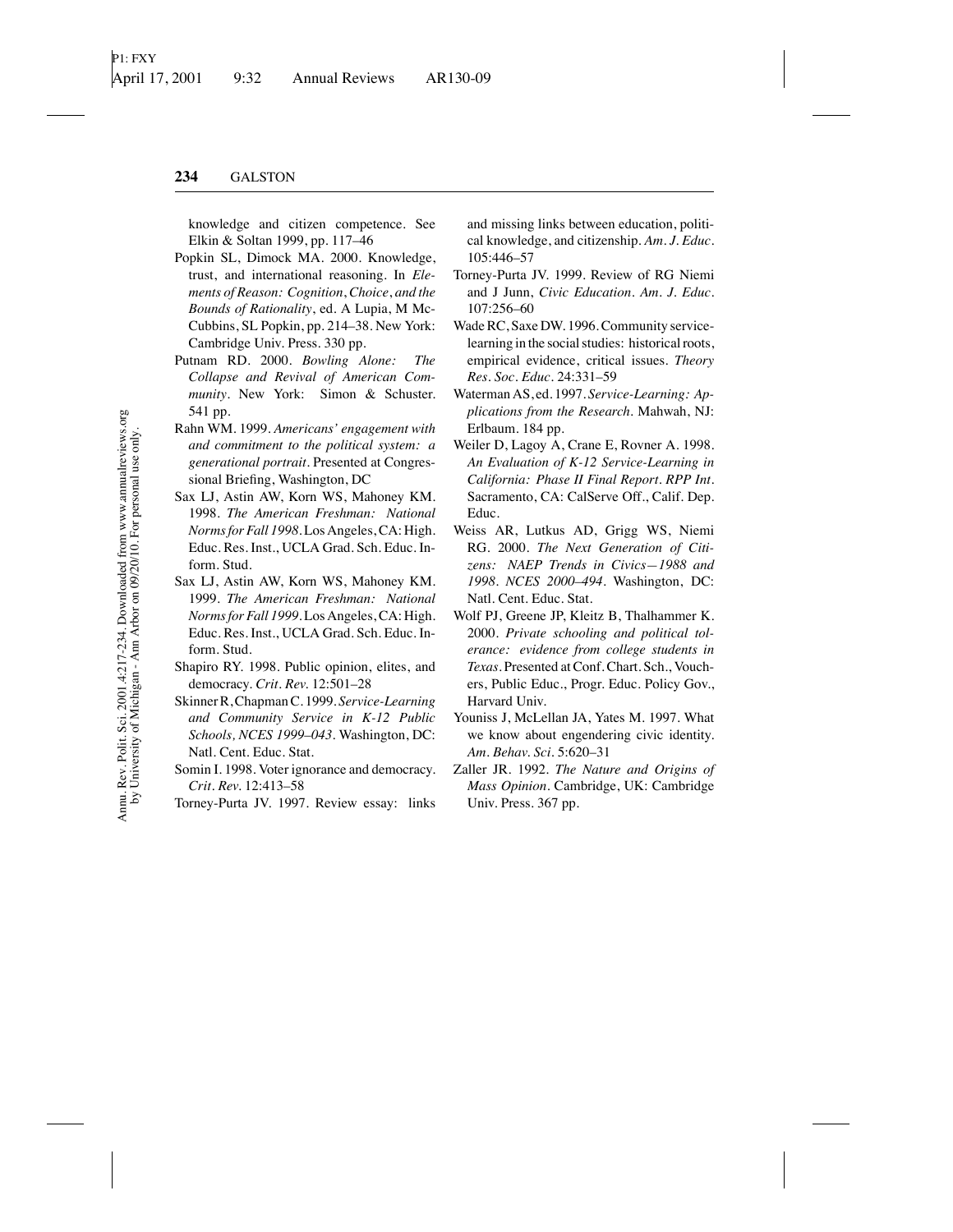knowledge and citizen competence. See Elkin & Soltan 1999, pp. 117–46

- Popkin SL, Dimock MA. 2000. Knowledge, trust, and international reasoning. In *Elements of Reason: Cognition*, *Choice*, *and the Bounds of Rationality*, ed. A Lupia, M Mc-Cubbins, SL Popkin, pp. 214–38. New York: Cambridge Univ. Press. 330 pp.
- Putnam RD. 2000. *Bowling Alone: The Collapse and Revival of American Community*. New York: Simon & Schuster. 541 pp.
- Rahn WM. 1999. *Americans' engagement with and commitment to the political system: a generational portrait*. Presented at Congressional Briefing, Washington, DC
- Sax LJ, Astin AW, Korn WS, Mahoney KM. 1998. *The American Freshman: National Norms for Fall 1998*. Los Angeles, CA: High. Educ. Res. Inst., UCLA Grad. Sch. Educ. Inform. Stud.
- Sax LJ, Astin AW, Korn WS, Mahoney KM. 1999. *The American Freshman: National Norms for Fall 1999*. Los Angeles, CA: High. Educ. Res. Inst., UCLA Grad. Sch. Educ. Inform. Stud.
- Shapiro RY. 1998. Public opinion, elites, and democracy. *Crit. Rev.* 12:501–28
- Skinner R, Chapman C. 1999. *Service-Learning and Community Service in K-12 Public Schools, NCES 1999–043*. Washington, DC: Natl. Cent. Educ. Stat.
- Somin I. 1998. Voter ignorance and democracy. *Crit. Rev.* 12:413–58
- Torney-Purta JV. 1997. Review essay: links

and missing links between education, political knowledge, and citizenship. *Am. J. Educ.* 105:446–57

- Torney-Purta JV. 1999. Review of RG Niemi and J Junn, *Civic Education*. *Am. J. Educ.* 107:256–60
- Wade RC, Saxe DW. 1996. Community servicelearning in the social studies: historical roots, empirical evidence, critical issues. *Theory Res. Soc. Educ.* 24:331–59
- Waterman AS, ed. 1997. *Service-Learning: Applications from the Research*. Mahwah, NJ: Erlbaum. 184 pp.
- Weiler D, Lagoy A, Crane E, Rovner A. 1998. *An Evaluation of K-12 Service-Learning in California: Phase II Final Report. RPP Int*. Sacramento, CA: CalServe Off., Calif. Dep. Educ.
- Weiss AR, Lutkus AD, Grigg WS, Niemi RG. 2000. *The Next Generation of Citizens: NAEP Trends in Civics—1988 and 1998. NCES 2000–494*. Washington, DC: Natl. Cent. Educ. Stat.
- Wolf PJ, Greene JP, Kleitz B, Thalhammer K. 2000. *Private schooling and political tolerance: evidence from college students in Texas*. Presented at Conf. Chart. Sch., Vouchers, Public Educ., Progr. Educ. Policy Gov., Harvard Univ.
- Youniss J, McLellan JA, Yates M. 1997. What we know about engendering civic identity. *Am. Behav. Sci.* 5:620–31
- Zaller JR. 1992. *The Nature and Origins of Mass Opinion*. Cambridge, UK: Cambridge Univ. Press. 367 pp.